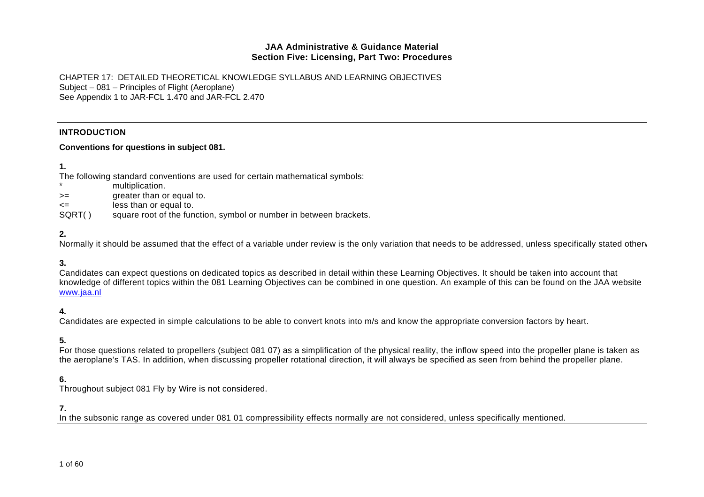| <b>INTRODUCTION</b> |                                                                                                                                                                                                                                                                                                                         |  |
|---------------------|-------------------------------------------------------------------------------------------------------------------------------------------------------------------------------------------------------------------------------------------------------------------------------------------------------------------------|--|
|                     | Conventions for questions in subject 081.                                                                                                                                                                                                                                                                               |  |
| 1.                  |                                                                                                                                                                                                                                                                                                                         |  |
|                     | The following standard conventions are used for certain mathematical symbols:                                                                                                                                                                                                                                           |  |
|                     | multiplication.                                                                                                                                                                                                                                                                                                         |  |
| $>=$                | greater than or equal to.                                                                                                                                                                                                                                                                                               |  |
| <=<br>SQRT()        | less than or equal to.<br>square root of the function, symbol or number in between brackets.                                                                                                                                                                                                                            |  |
|                     |                                                                                                                                                                                                                                                                                                                         |  |
| 2.                  |                                                                                                                                                                                                                                                                                                                         |  |
|                     | Normally it should be assumed that the effect of a variable under review is the only variation that needs to be addressed, unless specifically stated other                                                                                                                                                             |  |
| 3.                  |                                                                                                                                                                                                                                                                                                                         |  |
| www.jaa.nl          | Candidates can expect questions on dedicated topics as described in detail within these Learning Objectives. It should be taken into account that<br>knowledge of different topics within the 081 Learning Objectives can be combined in one question. An example of this can be found on the JAA website               |  |
| 4.                  |                                                                                                                                                                                                                                                                                                                         |  |
|                     | Candidates are expected in simple calculations to be able to convert knots into m/s and know the appropriate conversion factors by heart.                                                                                                                                                                               |  |
| 5.                  |                                                                                                                                                                                                                                                                                                                         |  |
|                     | For those questions related to propellers (subject 081 07) as a simplification of the physical reality, the inflow speed into the propeller plane is taken as<br>the aeroplane's TAS. In addition, when discussing propeller rotational direction, it will always be specified as seen from behind the propeller plane. |  |
| 6.                  |                                                                                                                                                                                                                                                                                                                         |  |
|                     | Throughout subject 081 Fly by Wire is not considered.                                                                                                                                                                                                                                                                   |  |
| 7.                  |                                                                                                                                                                                                                                                                                                                         |  |
|                     | In the subsonic range as covered under 081 01 compressibility effects normally are not considered, unless specifically mentioned.                                                                                                                                                                                       |  |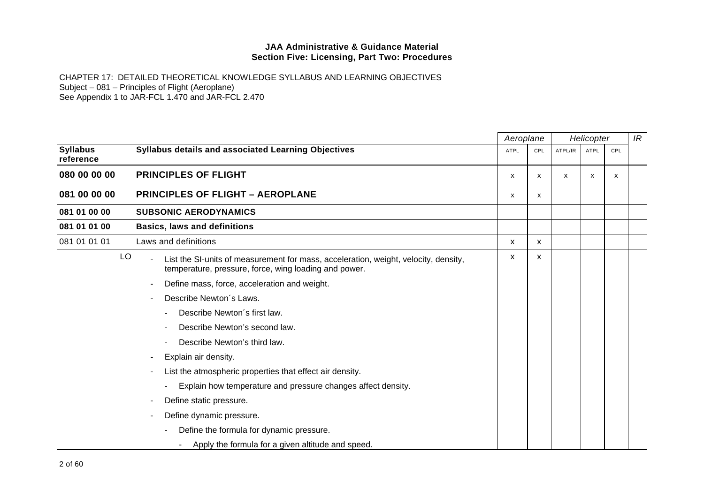|                              |                                                                                                                                              | Aeroplane   |     |                           | Helicopter |     | IR |
|------------------------------|----------------------------------------------------------------------------------------------------------------------------------------------|-------------|-----|---------------------------|------------|-----|----|
| <b>Syllabus</b><br>reference | Syllabus details and associated Learning Objectives                                                                                          | <b>ATPL</b> | CPL | ATPL/IR                   | ATPL       | CPL |    |
| 080 00 00 00                 | <b>PRINCIPLES OF FLIGHT</b>                                                                                                                  | x           | x   | $\boldsymbol{\mathsf{x}}$ | х          | x   |    |
| 081 00 00 00                 | <b>PRINCIPLES OF FLIGHT - AEROPLANE</b>                                                                                                      | X           | x   |                           |            |     |    |
| 081 01 00 00                 | <b>SUBSONIC AERODYNAMICS</b>                                                                                                                 |             |     |                           |            |     |    |
| 081 01 01 00                 | <b>Basics, laws and definitions</b>                                                                                                          |             |     |                           |            |     |    |
| 081 01 01 01                 | Laws and definitions                                                                                                                         | X           | x   |                           |            |     |    |
| LO                           | List the SI-units of measurement for mass, acceleration, weight, velocity, density,<br>temperature, pressure, force, wing loading and power. | х           | x   |                           |            |     |    |
|                              | Define mass, force, acceleration and weight.                                                                                                 |             |     |                           |            |     |    |
|                              | Describe Newton's Laws.                                                                                                                      |             |     |                           |            |     |    |
|                              | Describe Newton's first law.                                                                                                                 |             |     |                           |            |     |    |
|                              | Describe Newton's second law.                                                                                                                |             |     |                           |            |     |    |
|                              | Describe Newton's third law.                                                                                                                 |             |     |                           |            |     |    |
|                              | Explain air density.                                                                                                                         |             |     |                           |            |     |    |
|                              | List the atmospheric properties that effect air density.                                                                                     |             |     |                           |            |     |    |
|                              | Explain how temperature and pressure changes affect density.                                                                                 |             |     |                           |            |     |    |
|                              | Define static pressure.                                                                                                                      |             |     |                           |            |     |    |
|                              | Define dynamic pressure.                                                                                                                     |             |     |                           |            |     |    |
|                              | Define the formula for dynamic pressure.                                                                                                     |             |     |                           |            |     |    |
|                              | Apply the formula for a given altitude and speed.                                                                                            |             |     |                           |            |     |    |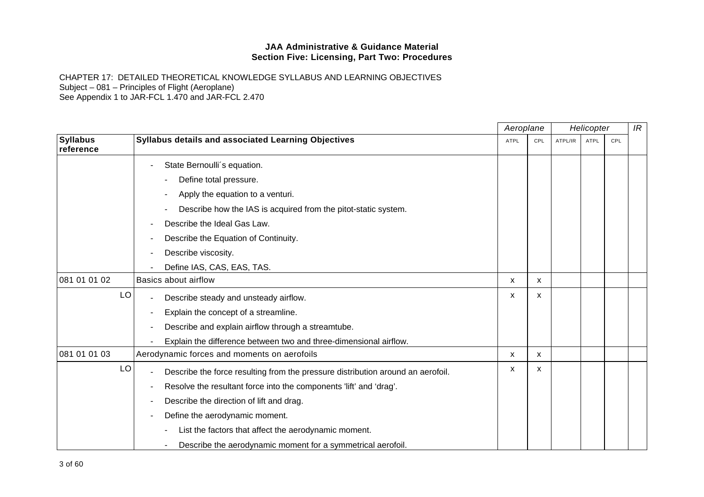|                              |    |                                                                                 | Aeroplane   |     |         | Helicopter  |     | IR |
|------------------------------|----|---------------------------------------------------------------------------------|-------------|-----|---------|-------------|-----|----|
| <b>Syllabus</b><br>reference |    | Syllabus details and associated Learning Objectives                             | <b>ATPL</b> | CPL | ATPL/IR | <b>ATPL</b> | CPL |    |
|                              |    | State Bernoulli's equation.                                                     |             |     |         |             |     |    |
|                              |    | Define total pressure.                                                          |             |     |         |             |     |    |
|                              |    | Apply the equation to a venturi.                                                |             |     |         |             |     |    |
|                              |    | Describe how the IAS is acquired from the pitot-static system.                  |             |     |         |             |     |    |
|                              |    | Describe the Ideal Gas Law.                                                     |             |     |         |             |     |    |
|                              |    | Describe the Equation of Continuity.                                            |             |     |         |             |     |    |
|                              |    | Describe viscosity.                                                             |             |     |         |             |     |    |
|                              |    | Define IAS, CAS, EAS, TAS.                                                      |             |     |         |             |     |    |
| 081 01 01 02                 |    | <b>Basics about airflow</b>                                                     | x           | x   |         |             |     |    |
|                              | LO | Describe steady and unsteady airflow.                                           | x           | X   |         |             |     |    |
|                              |    | Explain the concept of a streamline.                                            |             |     |         |             |     |    |
|                              |    | Describe and explain airflow through a streamtube.                              |             |     |         |             |     |    |
|                              |    | Explain the difference between two and three-dimensional airflow.               |             |     |         |             |     |    |
| 081 01 01 03                 |    | Aerodynamic forces and moments on aerofoils                                     | X           | X   |         |             |     |    |
|                              | LO | Describe the force resulting from the pressure distribution around an aerofoil. | x           | X   |         |             |     |    |
|                              |    | Resolve the resultant force into the components 'lift' and 'drag'.              |             |     |         |             |     |    |
|                              |    | Describe the direction of lift and drag.                                        |             |     |         |             |     |    |
|                              |    | Define the aerodynamic moment.                                                  |             |     |         |             |     |    |
|                              |    | List the factors that affect the aerodynamic moment.                            |             |     |         |             |     |    |
|                              |    | Describe the aerodynamic moment for a symmetrical aerofoil.                     |             |     |         |             |     |    |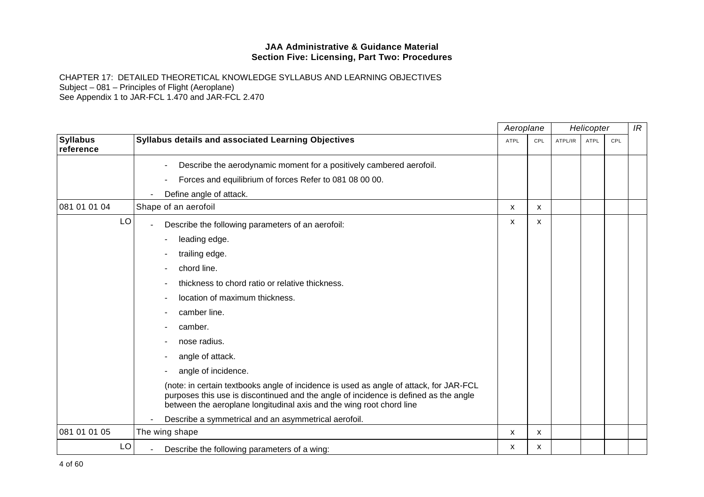|                              |                                                                                                                                                                                                                                                        | Aeroplane   |     | Helicopter |             |     | IR |
|------------------------------|--------------------------------------------------------------------------------------------------------------------------------------------------------------------------------------------------------------------------------------------------------|-------------|-----|------------|-------------|-----|----|
| <b>Syllabus</b><br>reference | Syllabus details and associated Learning Objectives                                                                                                                                                                                                    | <b>ATPL</b> | CPL | ATPL/IR    | <b>ATPL</b> | CPL |    |
|                              | Describe the aerodynamic moment for a positively cambered aerofoil.                                                                                                                                                                                    |             |     |            |             |     |    |
|                              | Forces and equilibrium of forces Refer to 081 08 00 00.                                                                                                                                                                                                |             |     |            |             |     |    |
|                              | Define angle of attack.                                                                                                                                                                                                                                |             |     |            |             |     |    |
| 081 01 01 04                 | Shape of an aerofoil                                                                                                                                                                                                                                   | х           | X   |            |             |     |    |
| LO                           | Describe the following parameters of an aerofoil:                                                                                                                                                                                                      | х           | x   |            |             |     |    |
|                              | leading edge.                                                                                                                                                                                                                                          |             |     |            |             |     |    |
|                              | trailing edge.                                                                                                                                                                                                                                         |             |     |            |             |     |    |
|                              | chord line.                                                                                                                                                                                                                                            |             |     |            |             |     |    |
|                              | thickness to chord ratio or relative thickness.                                                                                                                                                                                                        |             |     |            |             |     |    |
|                              | location of maximum thickness.                                                                                                                                                                                                                         |             |     |            |             |     |    |
|                              | camber line.                                                                                                                                                                                                                                           |             |     |            |             |     |    |
|                              | camber.                                                                                                                                                                                                                                                |             |     |            |             |     |    |
|                              | nose radius.                                                                                                                                                                                                                                           |             |     |            |             |     |    |
|                              | angle of attack.                                                                                                                                                                                                                                       |             |     |            |             |     |    |
|                              | angle of incidence.                                                                                                                                                                                                                                    |             |     |            |             |     |    |
|                              | (note: in certain textbooks angle of incidence is used as angle of attack, for JAR-FCL<br>purposes this use is discontinued and the angle of incidence is defined as the angle<br>between the aeroplane longitudinal axis and the wing root chord line |             |     |            |             |     |    |
|                              | Describe a symmetrical and an asymmetrical aerofoil.                                                                                                                                                                                                   |             |     |            |             |     |    |
| 081 01 01 05                 | The wing shape                                                                                                                                                                                                                                         | X           | X   |            |             |     |    |
| LO                           | Describe the following parameters of a wing:                                                                                                                                                                                                           | х           | x   |            |             |     |    |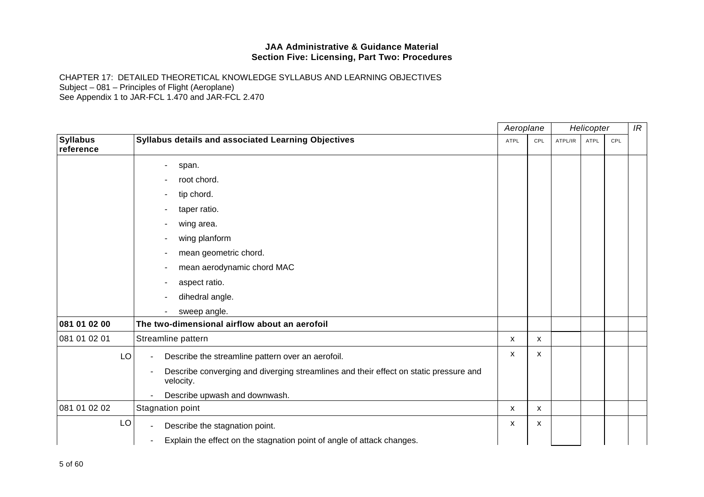|                              |                                                                                                    | Aeroplane |     |         | Helicopter |     | IR |
|------------------------------|----------------------------------------------------------------------------------------------------|-----------|-----|---------|------------|-----|----|
| <b>Syllabus</b><br>reference | Syllabus details and associated Learning Objectives                                                | ATPL      | CPL | ATPL/IR | ATPL       | CPL |    |
|                              | span.                                                                                              |           |     |         |            |     |    |
|                              | root chord.                                                                                        |           |     |         |            |     |    |
|                              | tip chord.                                                                                         |           |     |         |            |     |    |
|                              | taper ratio.                                                                                       |           |     |         |            |     |    |
|                              | wing area.                                                                                         |           |     |         |            |     |    |
|                              | wing planform                                                                                      |           |     |         |            |     |    |
|                              | mean geometric chord.                                                                              |           |     |         |            |     |    |
|                              | mean aerodynamic chord MAC                                                                         |           |     |         |            |     |    |
|                              | aspect ratio.                                                                                      |           |     |         |            |     |    |
|                              | dihedral angle.                                                                                    |           |     |         |            |     |    |
|                              | sweep angle.                                                                                       |           |     |         |            |     |    |
| 081 01 02 00                 | The two-dimensional airflow about an aerofoil                                                      |           |     |         |            |     |    |
| 081 01 02 01                 | Streamline pattern                                                                                 | X         | X   |         |            |     |    |
| LO                           | Describe the streamline pattern over an aerofoil.<br>٠                                             | x         | X   |         |            |     |    |
|                              | Describe converging and diverging streamlines and their effect on static pressure and<br>velocity. |           |     |         |            |     |    |
|                              | Describe upwash and downwash.                                                                      |           |     |         |            |     |    |
| 081 01 02 02                 | Stagnation point                                                                                   | x         | X   |         |            |     |    |
| LO                           | Describe the stagnation point.                                                                     | X         | X   |         |            |     |    |
|                              | Explain the effect on the stagnation point of angle of attack changes.                             |           |     |         |            |     |    |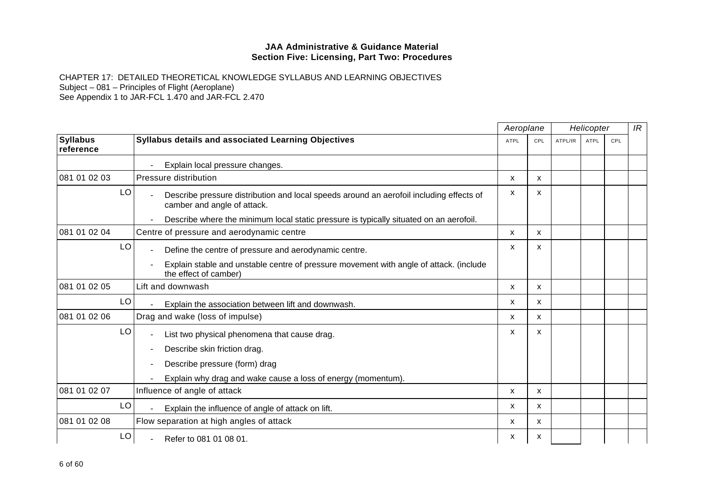|                              |                                                                                                                        | Aeroplane   |     | Helicopter |             |     | IR |
|------------------------------|------------------------------------------------------------------------------------------------------------------------|-------------|-----|------------|-------------|-----|----|
| <b>Syllabus</b><br>reference | Syllabus details and associated Learning Objectives                                                                    | <b>ATPL</b> | CPL | ATPL/IR    | <b>ATPL</b> | CPL |    |
|                              | Explain local pressure changes.                                                                                        |             |     |            |             |     |    |
| 081 01 02 03                 | Pressure distribution                                                                                                  | X           | X   |            |             |     |    |
| LO                           | Describe pressure distribution and local speeds around an aerofoil including effects of<br>camber and angle of attack. | х           | X   |            |             |     |    |
|                              | Describe where the minimum local static pressure is typically situated on an aerofoil.                                 |             |     |            |             |     |    |
| 081 01 02 04                 | Centre of pressure and aerodynamic centre                                                                              | X           | X   |            |             |     |    |
| LO                           | Define the centre of pressure and aerodynamic centre.                                                                  | x           | X   |            |             |     |    |
|                              | Explain stable and unstable centre of pressure movement with angle of attack. (include<br>the effect of camber)        |             |     |            |             |     |    |
| 081 01 02 05                 | Lift and downwash                                                                                                      | X           | X   |            |             |     |    |
| LO                           | Explain the association between lift and downwash.                                                                     | X           | X   |            |             |     |    |
| 081 01 02 06                 | Drag and wake (loss of impulse)                                                                                        | x           | X   |            |             |     |    |
| LO                           | List two physical phenomena that cause drag.                                                                           | X           | X   |            |             |     |    |
|                              | Describe skin friction drag.                                                                                           |             |     |            |             |     |    |
|                              | Describe pressure (form) drag                                                                                          |             |     |            |             |     |    |
|                              | Explain why drag and wake cause a loss of energy (momentum).                                                           |             |     |            |             |     |    |
| 081 01 02 07                 | Influence of angle of attack                                                                                           | X           | X   |            |             |     |    |
| LO                           | Explain the influence of angle of attack on lift.                                                                      | X           | X   |            |             |     |    |
| 081 01 02 08                 | Flow separation at high angles of attack                                                                               | X           | X   |            |             |     |    |
| LO                           | Refer to 081 01 08 01.                                                                                                 | x           | х   |            |             |     |    |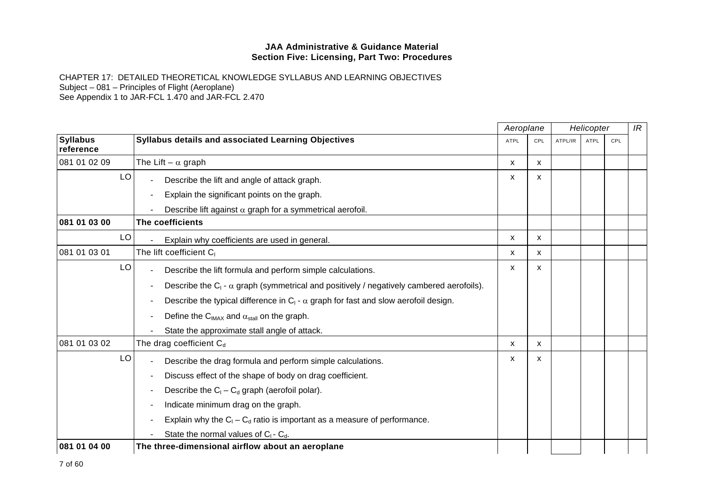|                              |                                                                                                   | Aeroplane |              | Helicopter |      |     | IR |
|------------------------------|---------------------------------------------------------------------------------------------------|-----------|--------------|------------|------|-----|----|
| <b>Syllabus</b><br>reference | Syllabus details and associated Learning Objectives                                               | ATPL      | CPL          | ATPL/IR    | ATPL | CPL |    |
| 081 01 02 09                 | The Lift – $\alpha$ graph                                                                         | x         | X            |            |      |     |    |
| LO                           | Describe the lift and angle of attack graph.                                                      | X         | X            |            |      |     |    |
|                              | Explain the significant points on the graph.<br>$\overline{\phantom{a}}$                          |           |              |            |      |     |    |
|                              | Describe lift against $\alpha$ graph for a symmetrical aerofoil.                                  |           |              |            |      |     |    |
| 081 01 03 00                 | The coefficients                                                                                  |           |              |            |      |     |    |
| LO                           | Explain why coefficients are used in general.                                                     | X         | X            |            |      |     |    |
| 081 01 03 01                 | The lift coefficient C <sub>1</sub>                                                               | x         | x            |            |      |     |    |
| LO                           | Describe the lift formula and perform simple calculations.                                        | X         | X            |            |      |     |    |
|                              | Describe the $C_1$ - $\alpha$ graph (symmetrical and positively / negatively cambered aerofoils). |           |              |            |      |     |    |
|                              | Describe the typical difference in $C_1$ - $\alpha$ graph for fast and slow aerofoil design.      |           |              |            |      |     |    |
|                              | Define the C <sub>IMAX</sub> and $\alpha_{\text{stall}}$ on the graph.                            |           |              |            |      |     |    |
|                              | State the approximate stall angle of attack.                                                      |           |              |            |      |     |    |
| 081 01 03 02                 | The drag coefficient $C_d$                                                                        | X         | $\mathsf{x}$ |            |      |     |    |
| LO                           | Describe the drag formula and perform simple calculations.                                        | X         | X            |            |      |     |    |
|                              | Discuss effect of the shape of body on drag coefficient.                                          |           |              |            |      |     |    |
|                              | Describe the $C_1 - C_d$ graph (aerofoil polar).                                                  |           |              |            |      |     |    |
|                              | Indicate minimum drag on the graph.                                                               |           |              |            |      |     |    |
|                              | Explain why the $C_1 - C_d$ ratio is important as a measure of performance.                       |           |              |            |      |     |    |
|                              | State the normal values of $C_1$ - $C_3$ .                                                        |           |              |            |      |     |    |
| 081 01 04 00                 | The three-dimensional airflow about an aeroplane                                                  |           |              |            |      |     |    |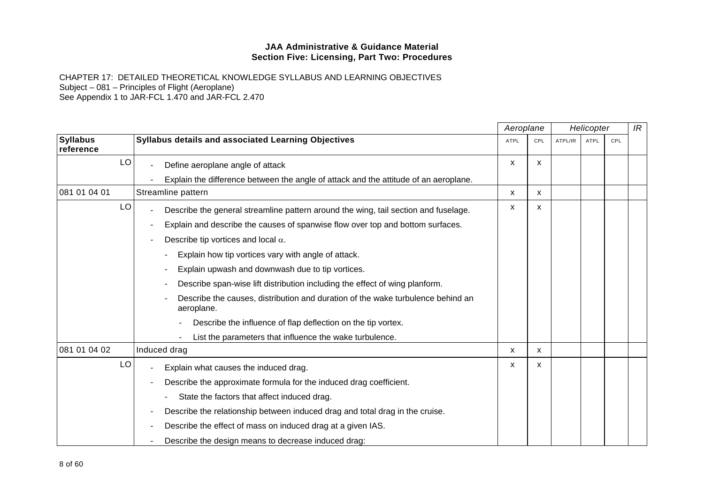|                              |                                                                                               | Aeroplane   |     |         | Helicopter  |            | IR |
|------------------------------|-----------------------------------------------------------------------------------------------|-------------|-----|---------|-------------|------------|----|
| <b>Syllabus</b><br>reference | <b>Syllabus details and associated Learning Objectives</b>                                    | <b>ATPL</b> | CPL | ATPL/IR | <b>ATPL</b> | <b>CPL</b> |    |
| LO                           | Define aeroplane angle of attack                                                              | X           | X.  |         |             |            |    |
|                              | Explain the difference between the angle of attack and the attitude of an aeroplane.          |             |     |         |             |            |    |
| 081 01 04 01                 | Streamline pattern                                                                            | x           | x   |         |             |            |    |
| LO                           | Describe the general streamline pattern around the wing, tail section and fuselage.           | X           | X   |         |             |            |    |
|                              | Explain and describe the causes of spanwise flow over top and bottom surfaces.                |             |     |         |             |            |    |
|                              | Describe tip vortices and local $\alpha$ .                                                    |             |     |         |             |            |    |
|                              | Explain how tip vortices vary with angle of attack.                                           |             |     |         |             |            |    |
|                              | Explain upwash and downwash due to tip vortices.                                              |             |     |         |             |            |    |
|                              | Describe span-wise lift distribution including the effect of wing planform.                   |             |     |         |             |            |    |
|                              | Describe the causes, distribution and duration of the wake turbulence behind an<br>aeroplane. |             |     |         |             |            |    |
|                              | Describe the influence of flap deflection on the tip vortex.                                  |             |     |         |             |            |    |
|                              | List the parameters that influence the wake turbulence.                                       |             |     |         |             |            |    |
| 081 01 04 02                 | Induced drag                                                                                  | X           | X   |         |             |            |    |
| LO                           | Explain what causes the induced drag.                                                         | X           | x   |         |             |            |    |
|                              | Describe the approximate formula for the induced drag coefficient.                            |             |     |         |             |            |    |
|                              | State the factors that affect induced drag.                                                   |             |     |         |             |            |    |
|                              | Describe the relationship between induced drag and total drag in the cruise.                  |             |     |         |             |            |    |
|                              | Describe the effect of mass on induced drag at a given IAS.                                   |             |     |         |             |            |    |
|                              | Describe the design means to decrease induced drag:                                           |             |     |         |             |            |    |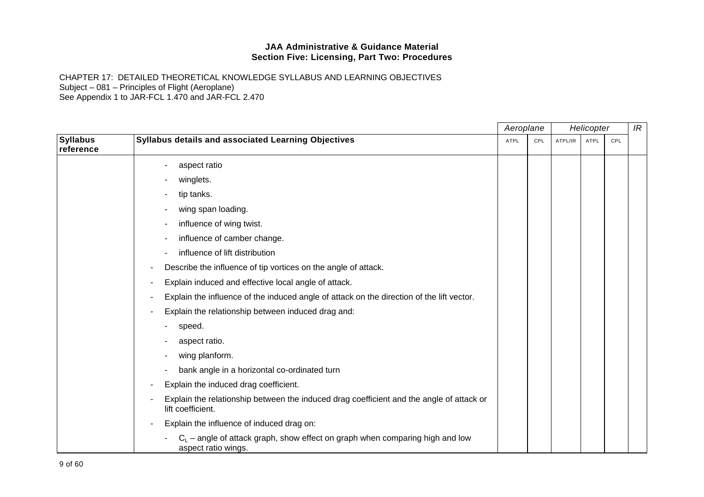|                              |                                                                                                               | Aeroplane   |     | Helicopter |             |     | IR |
|------------------------------|---------------------------------------------------------------------------------------------------------------|-------------|-----|------------|-------------|-----|----|
| <b>Syllabus</b><br>reference | Syllabus details and associated Learning Objectives                                                           | <b>ATPL</b> | CPL | ATPL/IR    | <b>ATPL</b> | CPL |    |
|                              | aspect ratio                                                                                                  |             |     |            |             |     |    |
|                              | winglets.                                                                                                     |             |     |            |             |     |    |
|                              | tip tanks.                                                                                                    |             |     |            |             |     |    |
|                              | wing span loading.                                                                                            |             |     |            |             |     |    |
|                              | influence of wing twist.                                                                                      |             |     |            |             |     |    |
|                              | influence of camber change.                                                                                   |             |     |            |             |     |    |
|                              | influence of lift distribution                                                                                |             |     |            |             |     |    |
|                              | Describe the influence of tip vortices on the angle of attack.                                                |             |     |            |             |     |    |
|                              | Explain induced and effective local angle of attack.                                                          |             |     |            |             |     |    |
|                              | Explain the influence of the induced angle of attack on the direction of the lift vector.                     |             |     |            |             |     |    |
|                              | Explain the relationship between induced drag and:                                                            |             |     |            |             |     |    |
|                              | speed.                                                                                                        |             |     |            |             |     |    |
|                              | aspect ratio.                                                                                                 |             |     |            |             |     |    |
|                              | wing planform.                                                                                                |             |     |            |             |     |    |
|                              | bank angle in a horizontal co-ordinated turn                                                                  |             |     |            |             |     |    |
|                              | Explain the induced drag coefficient.                                                                         |             |     |            |             |     |    |
|                              | Explain the relationship between the induced drag coefficient and the angle of attack or<br>lift coefficient. |             |     |            |             |     |    |
|                              | Explain the influence of induced drag on:                                                                     |             |     |            |             |     |    |
|                              | $C_L$ – angle of attack graph, show effect on graph when comparing high and low<br>aspect ratio wings.        |             |     |            |             |     |    |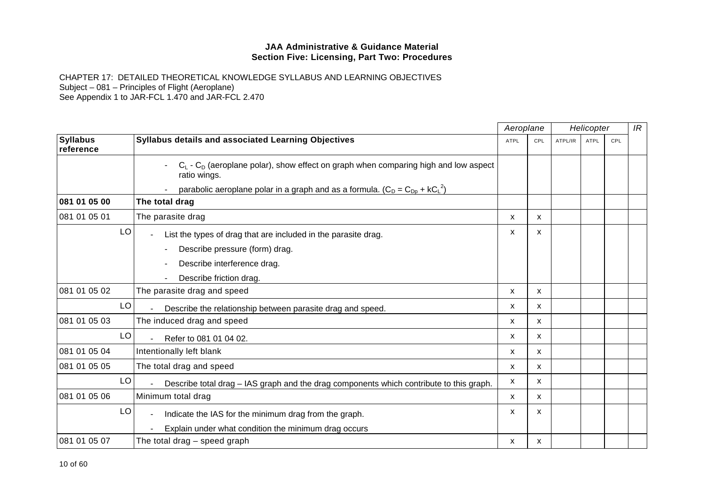|                              |                                                                                                          |                           | Aeroplane<br>Helicopter |         | IR   |     |  |
|------------------------------|----------------------------------------------------------------------------------------------------------|---------------------------|-------------------------|---------|------|-----|--|
| <b>Syllabus</b><br>reference | Syllabus details and associated Learning Objectives                                                      | <b>ATPL</b>               | CPL                     | ATPL/IR | ATPL | CPL |  |
|                              | $C_L$ - $C_D$ (aeroplane polar), show effect on graph when comparing high and low aspect<br>ratio wings. |                           |                         |         |      |     |  |
|                              | parabolic aeroplane polar in a graph and as a formula. $(C_D = C_{Dp} + kC_L^2)$                         |                           |                         |         |      |     |  |
| 081 01 05 00                 | The total drag                                                                                           |                           |                         |         |      |     |  |
| 081 01 05 01                 | The parasite drag                                                                                        | X                         | X                       |         |      |     |  |
| LO                           | List the types of drag that are included in the parasite drag.                                           | x                         | X                       |         |      |     |  |
|                              | Describe pressure (form) drag.                                                                           |                           |                         |         |      |     |  |
|                              | Describe interference drag.                                                                              |                           |                         |         |      |     |  |
|                              | Describe friction drag.                                                                                  |                           |                         |         |      |     |  |
| 081 01 05 02                 | The parasite drag and speed                                                                              | X                         | X                       |         |      |     |  |
| LO                           | Describe the relationship between parasite drag and speed.                                               | $\boldsymbol{\mathsf{x}}$ | X                       |         |      |     |  |
| 081 01 05 03                 | The induced drag and speed                                                                               | X                         | X                       |         |      |     |  |
| LO                           | Refer to 081 01 04 02.                                                                                   | X                         | X                       |         |      |     |  |
| 081 01 05 04                 | Intentionally left blank                                                                                 | X                         | X                       |         |      |     |  |
| 081 01 05 05                 | The total drag and speed                                                                                 | $\boldsymbol{\mathsf{x}}$ | X                       |         |      |     |  |
| LO                           | Describe total drag – IAS graph and the drag components which contribute to this graph.                  | X                         | X                       |         |      |     |  |
| 081 01 05 06                 | Minimum total drag                                                                                       | X                         | X                       |         |      |     |  |
| LO                           | Indicate the IAS for the minimum drag from the graph.                                                    | X                         | x                       |         |      |     |  |
|                              | Explain under what condition the minimum drag occurs                                                     |                           |                         |         |      |     |  |
| 081 01 05 07                 | The total drag – speed graph                                                                             | х                         | x                       |         |      |     |  |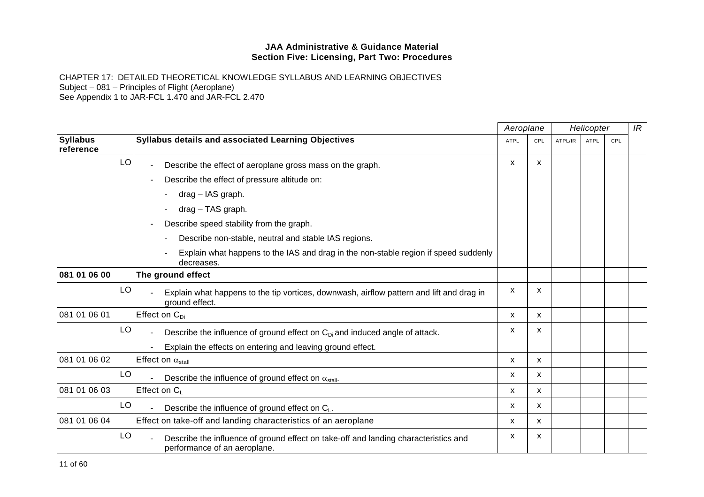|                              |                                                                                                                     | Aeroplane   |              |         | Helicopter  |     | IR |
|------------------------------|---------------------------------------------------------------------------------------------------------------------|-------------|--------------|---------|-------------|-----|----|
| <b>Syllabus</b><br>reference | <b>Syllabus details and associated Learning Objectives</b>                                                          | <b>ATPL</b> | <b>CPL</b>   | ATPL/IR | <b>ATPL</b> | CPL |    |
| LO                           | Describe the effect of aeroplane gross mass on the graph.                                                           | X           | $\mathsf{x}$ |         |             |     |    |
|                              | Describe the effect of pressure altitude on:                                                                        |             |              |         |             |     |    |
|                              | drag - IAS graph.                                                                                                   |             |              |         |             |     |    |
|                              | drag - TAS graph.                                                                                                   |             |              |         |             |     |    |
|                              | Describe speed stability from the graph.                                                                            |             |              |         |             |     |    |
|                              | Describe non-stable, neutral and stable IAS regions.                                                                |             |              |         |             |     |    |
|                              | Explain what happens to the IAS and drag in the non-stable region if speed suddenly<br>decreases.                   |             |              |         |             |     |    |
| 081 01 06 00                 | The ground effect                                                                                                   |             |              |         |             |     |    |
| LO                           | Explain what happens to the tip vortices, downwash, airflow pattern and lift and drag in<br>ground effect.          | x           | X            |         |             |     |    |
| 081 01 06 01                 | Effect on $C_{Di}$                                                                                                  | X           | X            |         |             |     |    |
| LO                           | Describe the influence of ground effect on $C_{Di}$ and induced angle of attack.                                    | X           | X            |         |             |     |    |
|                              | Explain the effects on entering and leaving ground effect.                                                          |             |              |         |             |     |    |
| 081 01 06 02                 | Effect on $\alpha_{\text{stall}}$                                                                                   | X           | X            |         |             |     |    |
| LO                           | Describe the influence of ground effect on $\alpha_{\text{stall}}$ .                                                | X           | X            |         |             |     |    |
| 081 01 06 03                 | Effect on C <sub>1</sub>                                                                                            | X           | X            |         |             |     |    |
| LO                           | Describe the influence of ground effect on $C_{L}$ .                                                                | X           | $\mathsf{x}$ |         |             |     |    |
| 081 01 06 04                 | Effect on take-off and landing characteristics of an aeroplane                                                      | X           | X            |         |             |     |    |
| LO                           | Describe the influence of ground effect on take-off and landing characteristics and<br>performance of an aeroplane. | x           | X            |         |             |     |    |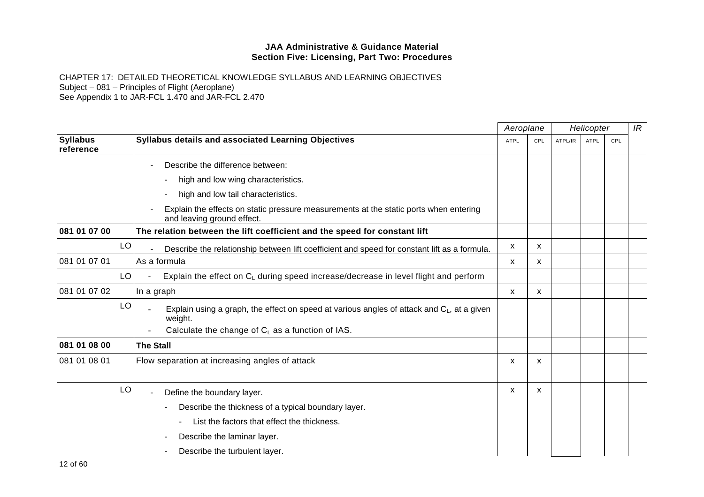|                              |                                                                                                                     | Aeroplane<br>Helicopter |     | IR      |             |     |  |
|------------------------------|---------------------------------------------------------------------------------------------------------------------|-------------------------|-----|---------|-------------|-----|--|
| <b>Syllabus</b><br>reference | Syllabus details and associated Learning Objectives                                                                 | <b>ATPL</b>             | CPL | ATPL/IR | <b>ATPL</b> | CPL |  |
|                              | Describe the difference between:                                                                                    |                         |     |         |             |     |  |
|                              | high and low wing characteristics.                                                                                  |                         |     |         |             |     |  |
|                              | high and low tail characteristics.                                                                                  |                         |     |         |             |     |  |
|                              | Explain the effects on static pressure measurements at the static ports when entering<br>and leaving ground effect. |                         |     |         |             |     |  |
| 081 01 07 00                 | The relation between the lift coefficient and the speed for constant lift                                           |                         |     |         |             |     |  |
| LO                           | Describe the relationship between lift coefficient and speed for constant lift as a formula.                        | x                       | x   |         |             |     |  |
| 081 01 07 01                 | As a formula                                                                                                        | x                       | x   |         |             |     |  |
| LO                           | Explain the effect on $C_L$ during speed increase/decrease in level flight and perform                              |                         |     |         |             |     |  |
| 081 01 07 02                 | In a graph                                                                                                          | X                       | X   |         |             |     |  |
| LO                           | Explain using a graph, the effect on speed at various angles of attack and $C_L$ , at a given<br>weight.            |                         |     |         |             |     |  |
|                              | Calculate the change of $C_L$ as a function of IAS.                                                                 |                         |     |         |             |     |  |
| 081 01 08 00                 | <b>The Stall</b>                                                                                                    |                         |     |         |             |     |  |
| 081 01 08 01                 | Flow separation at increasing angles of attack                                                                      | x                       | x   |         |             |     |  |
| LO                           | Define the boundary layer.                                                                                          | X                       | x   |         |             |     |  |
|                              | Describe the thickness of a typical boundary layer.                                                                 |                         |     |         |             |     |  |
|                              | List the factors that effect the thickness.                                                                         |                         |     |         |             |     |  |
|                              | Describe the laminar layer.                                                                                         |                         |     |         |             |     |  |
|                              | Describe the turbulent layer.                                                                                       |                         |     |         |             |     |  |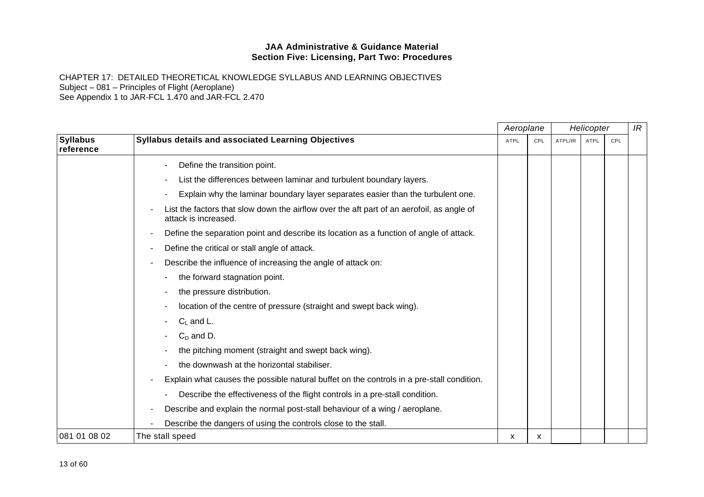|                              |                                                                                                                   | Aeroplane   |     | Helicopter |             | IR  |  |
|------------------------------|-------------------------------------------------------------------------------------------------------------------|-------------|-----|------------|-------------|-----|--|
| <b>Syllabus</b><br>reference | Syllabus details and associated Learning Objectives                                                               | <b>ATPL</b> | CPL | ATPL/IR    | <b>ATPL</b> | CPL |  |
|                              | Define the transition point.                                                                                      |             |     |            |             |     |  |
|                              | List the differences between laminar and turbulent boundary layers.                                               |             |     |            |             |     |  |
|                              | Explain why the laminar boundary layer separates easier than the turbulent one.                                   |             |     |            |             |     |  |
|                              | List the factors that slow down the airflow over the aft part of an aerofoil, as angle of<br>attack is increased. |             |     |            |             |     |  |
|                              | Define the separation point and describe its location as a function of angle of attack.                           |             |     |            |             |     |  |
|                              | Define the critical or stall angle of attack.                                                                     |             |     |            |             |     |  |
|                              | Describe the influence of increasing the angle of attack on:                                                      |             |     |            |             |     |  |
|                              | the forward stagnation point.                                                                                     |             |     |            |             |     |  |
|                              | the pressure distribution.                                                                                        |             |     |            |             |     |  |
|                              | location of the centre of pressure (straight and swept back wing).                                                |             |     |            |             |     |  |
|                              | $C1$ and L.                                                                                                       |             |     |            |             |     |  |
|                              | $CD$ and D.                                                                                                       |             |     |            |             |     |  |
|                              | the pitching moment (straight and swept back wing).                                                               |             |     |            |             |     |  |
|                              | the downwash at the horizontal stabiliser.                                                                        |             |     |            |             |     |  |
|                              | Explain what causes the possible natural buffet on the controls in a pre-stall condition.                         |             |     |            |             |     |  |
|                              | Describe the effectiveness of the flight controls in a pre-stall condition.                                       |             |     |            |             |     |  |
|                              | Describe and explain the normal post-stall behaviour of a wing / aeroplane.                                       |             |     |            |             |     |  |
|                              | Describe the dangers of using the controls close to the stall.                                                    |             |     |            |             |     |  |
| 081 01 08 02                 | The stall speed                                                                                                   | x           | x   |            |             |     |  |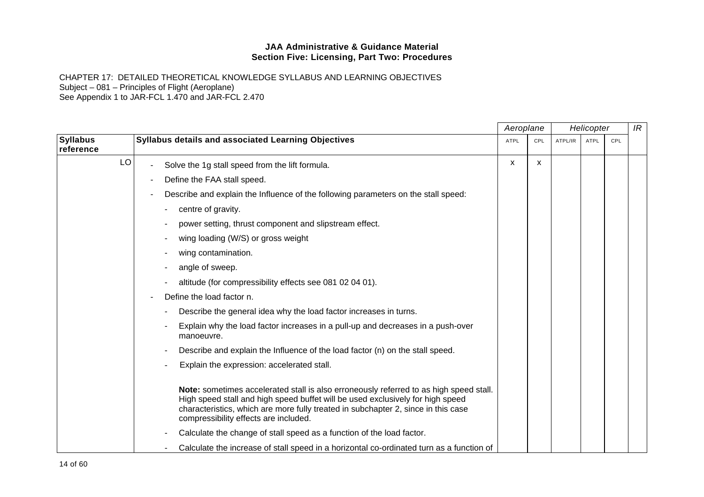|                              |                                                                                                                                                                                                                                                                                                        | Aeroplane   |     | Helicopter |             |     | IR |
|------------------------------|--------------------------------------------------------------------------------------------------------------------------------------------------------------------------------------------------------------------------------------------------------------------------------------------------------|-------------|-----|------------|-------------|-----|----|
| <b>Syllabus</b><br>reference | Syllabus details and associated Learning Objectives                                                                                                                                                                                                                                                    | <b>ATPL</b> | CPL | ATPL/IR    | <b>ATPL</b> | CPL |    |
| LO                           | Solve the 1g stall speed from the lift formula.                                                                                                                                                                                                                                                        | X           | x   |            |             |     |    |
|                              | Define the FAA stall speed.                                                                                                                                                                                                                                                                            |             |     |            |             |     |    |
|                              | Describe and explain the Influence of the following parameters on the stall speed:                                                                                                                                                                                                                     |             |     |            |             |     |    |
|                              | centre of gravity.                                                                                                                                                                                                                                                                                     |             |     |            |             |     |    |
|                              | power setting, thrust component and slipstream effect.                                                                                                                                                                                                                                                 |             |     |            |             |     |    |
|                              | wing loading (W/S) or gross weight                                                                                                                                                                                                                                                                     |             |     |            |             |     |    |
|                              | wing contamination.                                                                                                                                                                                                                                                                                    |             |     |            |             |     |    |
|                              | angle of sweep.                                                                                                                                                                                                                                                                                        |             |     |            |             |     |    |
|                              | altitude (for compressibility effects see 081 02 04 01).                                                                                                                                                                                                                                               |             |     |            |             |     |    |
|                              | Define the load factor n.                                                                                                                                                                                                                                                                              |             |     |            |             |     |    |
|                              | Describe the general idea why the load factor increases in turns.                                                                                                                                                                                                                                      |             |     |            |             |     |    |
|                              | Explain why the load factor increases in a pull-up and decreases in a push-over<br>manoeuvre.                                                                                                                                                                                                          |             |     |            |             |     |    |
|                              | Describe and explain the Influence of the load factor (n) on the stall speed.                                                                                                                                                                                                                          |             |     |            |             |     |    |
|                              | Explain the expression: accelerated stall.                                                                                                                                                                                                                                                             |             |     |            |             |     |    |
|                              | Note: sometimes accelerated stall is also erroneously referred to as high speed stall.<br>High speed stall and high speed buffet will be used exclusively for high speed<br>characteristics, which are more fully treated in subchapter 2, since in this case<br>compressibility effects are included. |             |     |            |             |     |    |
|                              | Calculate the change of stall speed as a function of the load factor.                                                                                                                                                                                                                                  |             |     |            |             |     |    |
|                              | Calculate the increase of stall speed in a horizontal co-ordinated turn as a function of                                                                                                                                                                                                               |             |     |            |             |     |    |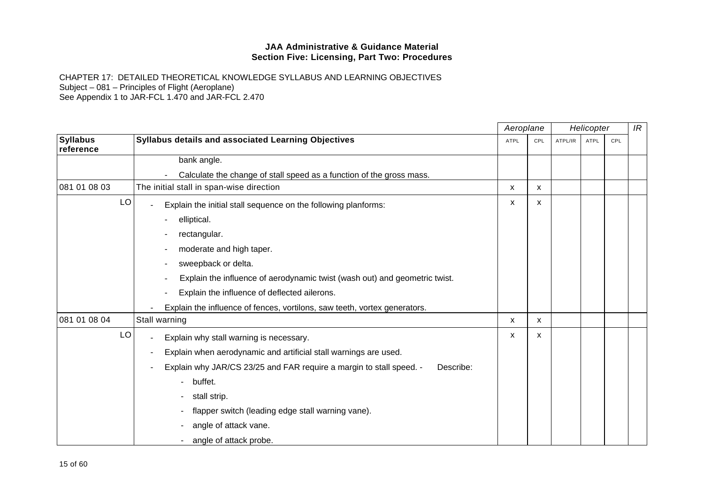|                              |                                                                                  | Aeroplane   |     | Helicopter |             | IR  |  |
|------------------------------|----------------------------------------------------------------------------------|-------------|-----|------------|-------------|-----|--|
| <b>Syllabus</b><br>reference | Syllabus details and associated Learning Objectives                              | <b>ATPL</b> | CPL | ATPL/IR    | <b>ATPL</b> | CPL |  |
|                              | bank angle.                                                                      |             |     |            |             |     |  |
|                              | Calculate the change of stall speed as a function of the gross mass.             |             |     |            |             |     |  |
| 081 01 08 03                 | The initial stall in span-wise direction                                         | X           | X   |            |             |     |  |
| LO                           | Explain the initial stall sequence on the following planforms:                   | X           | X   |            |             |     |  |
|                              | elliptical.                                                                      |             |     |            |             |     |  |
|                              | rectangular.                                                                     |             |     |            |             |     |  |
|                              | moderate and high taper.                                                         |             |     |            |             |     |  |
|                              | sweepback or delta.                                                              |             |     |            |             |     |  |
|                              | Explain the influence of aerodynamic twist (wash out) and geometric twist.       |             |     |            |             |     |  |
|                              | Explain the influence of deflected ailerons.                                     |             |     |            |             |     |  |
|                              | Explain the influence of fences, vortilons, saw teeth, vortex generators.        |             |     |            |             |     |  |
| 081 01 08 04                 | Stall warning                                                                    | X           | X   |            |             |     |  |
| LO                           | Explain why stall warning is necessary.                                          | X           | X   |            |             |     |  |
|                              | Explain when aerodynamic and artificial stall warnings are used.                 |             |     |            |             |     |  |
|                              | Explain why JAR/CS 23/25 and FAR require a margin to stall speed. -<br>Describe: |             |     |            |             |     |  |
|                              | buffet.                                                                          |             |     |            |             |     |  |
|                              | stall strip.                                                                     |             |     |            |             |     |  |
|                              | flapper switch (leading edge stall warning vane).                                |             |     |            |             |     |  |
|                              | angle of attack vane.                                                            |             |     |            |             |     |  |
|                              | angle of attack probe.                                                           |             |     |            |             |     |  |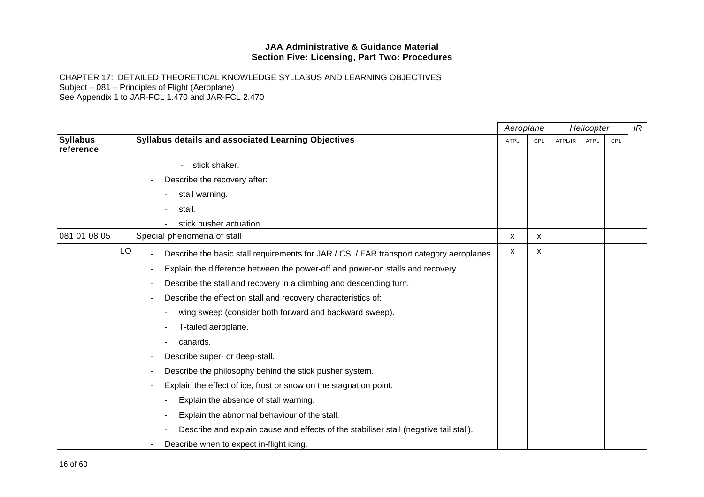|                              |                                                                                         | Aeroplane |     |         | Helicopter |     | IR |
|------------------------------|-----------------------------------------------------------------------------------------|-----------|-----|---------|------------|-----|----|
| <b>Syllabus</b><br>reference | <b>Syllabus details and associated Learning Objectives</b>                              | ATPL      | CPL | ATPL/IR | ATPL       | CPL |    |
|                              | stick shaker.                                                                           |           |     |         |            |     |    |
|                              | Describe the recovery after:                                                            |           |     |         |            |     |    |
|                              | stall warning.                                                                          |           |     |         |            |     |    |
|                              | stall.                                                                                  |           |     |         |            |     |    |
|                              | stick pusher actuation.                                                                 |           |     |         |            |     |    |
| 081 01 08 05                 | Special phenomena of stall                                                              | х         | x   |         |            |     |    |
| LO                           | Describe the basic stall requirements for JAR / CS / FAR transport category aeroplanes. | x         | x   |         |            |     |    |
|                              | Explain the difference between the power-off and power-on stalls and recovery.          |           |     |         |            |     |    |
|                              | Describe the stall and recovery in a climbing and descending turn.                      |           |     |         |            |     |    |
|                              | Describe the effect on stall and recovery characteristics of:                           |           |     |         |            |     |    |
|                              | wing sweep (consider both forward and backward sweep).                                  |           |     |         |            |     |    |
|                              | T-tailed aeroplane.                                                                     |           |     |         |            |     |    |
|                              | canards.                                                                                |           |     |         |            |     |    |
|                              | Describe super- or deep-stall.                                                          |           |     |         |            |     |    |
|                              | Describe the philosophy behind the stick pusher system.                                 |           |     |         |            |     |    |
|                              | Explain the effect of ice, frost or snow on the stagnation point.                       |           |     |         |            |     |    |
|                              | Explain the absence of stall warning.                                                   |           |     |         |            |     |    |
|                              | Explain the abnormal behaviour of the stall.                                            |           |     |         |            |     |    |
|                              | Describe and explain cause and effects of the stabiliser stall (negative tail stall).   |           |     |         |            |     |    |
|                              | Describe when to expect in-flight icing.                                                |           |     |         |            |     |    |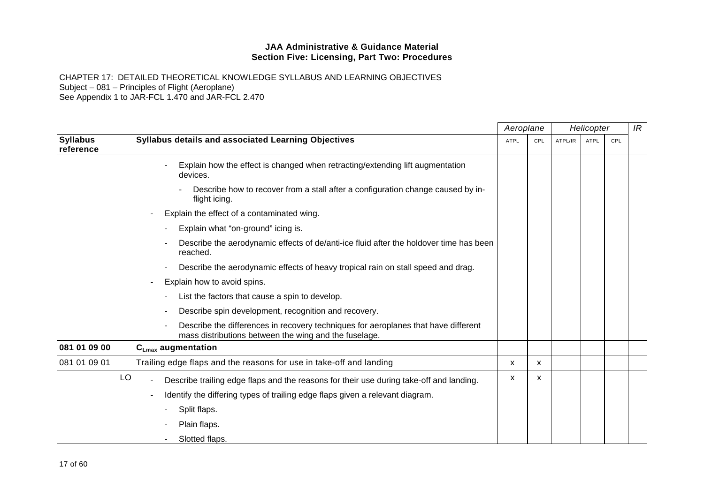|                              |                                                                                                                                             | Aeroplane   |     |         | Helicopter  |            | IR |
|------------------------------|---------------------------------------------------------------------------------------------------------------------------------------------|-------------|-----|---------|-------------|------------|----|
| <b>Syllabus</b><br>reference | <b>Syllabus details and associated Learning Objectives</b>                                                                                  | <b>ATPL</b> | CPL | ATPL/IR | <b>ATPL</b> | <b>CPL</b> |    |
|                              | Explain how the effect is changed when retracting/extending lift augmentation<br>devices.                                                   |             |     |         |             |            |    |
|                              | Describe how to recover from a stall after a configuration change caused by in-<br>flight icing.                                            |             |     |         |             |            |    |
|                              | Explain the effect of a contaminated wing.                                                                                                  |             |     |         |             |            |    |
|                              | Explain what "on-ground" icing is.                                                                                                          |             |     |         |             |            |    |
|                              | Describe the aerodynamic effects of de/anti-ice fluid after the holdover time has been<br>reached.                                          |             |     |         |             |            |    |
|                              | Describe the aerodynamic effects of heavy tropical rain on stall speed and drag.                                                            |             |     |         |             |            |    |
|                              | Explain how to avoid spins.                                                                                                                 |             |     |         |             |            |    |
|                              | List the factors that cause a spin to develop.                                                                                              |             |     |         |             |            |    |
|                              | Describe spin development, recognition and recovery.                                                                                        |             |     |         |             |            |    |
|                              | Describe the differences in recovery techniques for aeroplanes that have different<br>mass distributions between the wing and the fuselage. |             |     |         |             |            |    |
| 081 01 09 00                 | $C_{Lmax}$ augmentation                                                                                                                     |             |     |         |             |            |    |
| 081 01 09 01                 | Trailing edge flaps and the reasons for use in take-off and landing                                                                         | X           | X   |         |             |            |    |
| LO                           | Describe trailing edge flaps and the reasons for their use during take-off and landing.                                                     | x           | x   |         |             |            |    |
|                              | Identify the differing types of trailing edge flaps given a relevant diagram.                                                               |             |     |         |             |            |    |
|                              | Split flaps.                                                                                                                                |             |     |         |             |            |    |
|                              | Plain flaps.                                                                                                                                |             |     |         |             |            |    |
|                              | Slotted flaps.                                                                                                                              |             |     |         |             |            |    |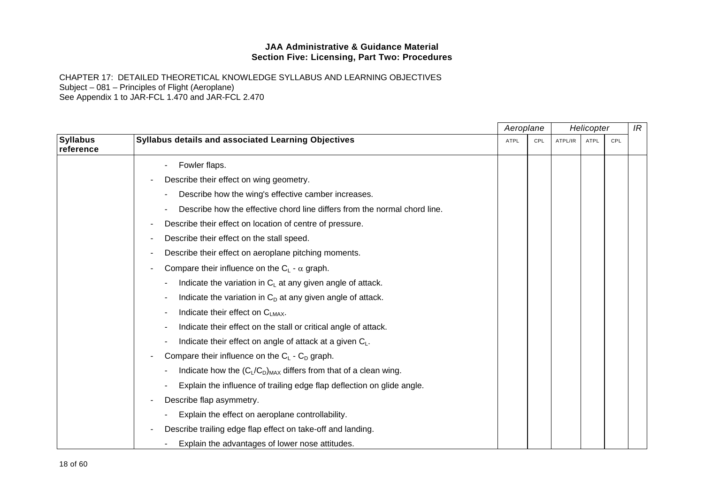|                              |                                                                           | Aeroplane   |     |         | Helicopter |     | IR |
|------------------------------|---------------------------------------------------------------------------|-------------|-----|---------|------------|-----|----|
| <b>Syllabus</b><br>reference | Syllabus details and associated Learning Objectives                       | <b>ATPL</b> | CPL | ATPL/IR | ATPL       | CPL |    |
|                              | Fowler flaps.                                                             |             |     |         |            |     |    |
|                              | Describe their effect on wing geometry.                                   |             |     |         |            |     |    |
|                              | Describe how the wing's effective camber increases.                       |             |     |         |            |     |    |
|                              | Describe how the effective chord line differs from the normal chord line. |             |     |         |            |     |    |
|                              | Describe their effect on location of centre of pressure.                  |             |     |         |            |     |    |
|                              | Describe their effect on the stall speed.                                 |             |     |         |            |     |    |
|                              | Describe their effect on aeroplane pitching moments.                      |             |     |         |            |     |    |
|                              | Compare their influence on the $C_L$ - $\alpha$ graph.                    |             |     |         |            |     |    |
|                              | Indicate the variation in $C_L$ at any given angle of attack.             |             |     |         |            |     |    |
|                              | Indicate the variation in $C_D$ at any given angle of attack.             |             |     |         |            |     |    |
|                              | Indicate their effect on C <sub>LMAX</sub> .                              |             |     |         |            |     |    |
|                              | Indicate their effect on the stall or critical angle of attack.           |             |     |         |            |     |    |
|                              | Indicate their effect on angle of attack at a given $C_L$ .               |             |     |         |            |     |    |
|                              | Compare their influence on the $C_L$ - $C_D$ graph.                       |             |     |         |            |     |    |
|                              | Indicate how the $(C_L/C_D)_{MAX}$ differs from that of a clean wing.     |             |     |         |            |     |    |
|                              | Explain the influence of trailing edge flap deflection on glide angle.    |             |     |         |            |     |    |
|                              | Describe flap asymmetry.                                                  |             |     |         |            |     |    |
|                              | Explain the effect on aeroplane controllability.                          |             |     |         |            |     |    |
|                              | Describe trailing edge flap effect on take-off and landing.               |             |     |         |            |     |    |
|                              | Explain the advantages of lower nose attitudes.                           |             |     |         |            |     |    |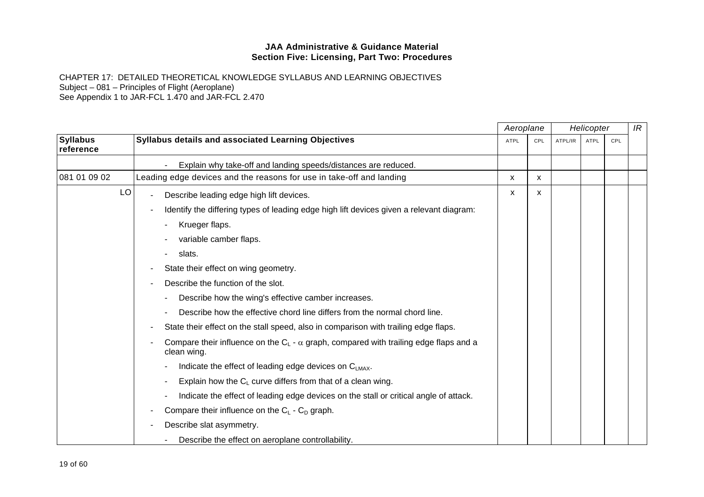|                              |                                                                                                               | Aeroplane   |     |         | Helicopter  |     | IR |
|------------------------------|---------------------------------------------------------------------------------------------------------------|-------------|-----|---------|-------------|-----|----|
| <b>Syllabus</b><br>reference | <b>Syllabus details and associated Learning Objectives</b>                                                    | <b>ATPL</b> | CPL | ATPL/IR | <b>ATPL</b> | CPL |    |
|                              | Explain why take-off and landing speeds/distances are reduced.                                                |             |     |         |             |     |    |
| 081 01 09 02                 | Leading edge devices and the reasons for use in take-off and landing                                          | x           | X   |         |             |     |    |
| LO                           | Describe leading edge high lift devices.                                                                      | x           | X   |         |             |     |    |
|                              | Identify the differing types of leading edge high lift devices given a relevant diagram:                      |             |     |         |             |     |    |
|                              | Krueger flaps.                                                                                                |             |     |         |             |     |    |
|                              | variable camber flaps.                                                                                        |             |     |         |             |     |    |
|                              | slats.                                                                                                        |             |     |         |             |     |    |
|                              | State their effect on wing geometry.                                                                          |             |     |         |             |     |    |
|                              | Describe the function of the slot.                                                                            |             |     |         |             |     |    |
|                              | Describe how the wing's effective camber increases.                                                           |             |     |         |             |     |    |
|                              | Describe how the effective chord line differs from the normal chord line.                                     |             |     |         |             |     |    |
|                              | State their effect on the stall speed, also in comparison with trailing edge flaps.                           |             |     |         |             |     |    |
|                              | Compare their influence on the $C_L$ - $\alpha$ graph, compared with trailing edge flaps and a<br>clean wing. |             |     |         |             |     |    |
|                              | Indicate the effect of leading edge devices on C <sub>LMAX</sub> .                                            |             |     |         |             |     |    |
|                              | Explain how the $C_L$ curve differs from that of a clean wing.                                                |             |     |         |             |     |    |
|                              | Indicate the effect of leading edge devices on the stall or critical angle of attack.                         |             |     |         |             |     |    |
|                              | Compare their influence on the $C_L$ - $C_D$ graph.                                                           |             |     |         |             |     |    |
|                              | Describe slat asymmetry.                                                                                      |             |     |         |             |     |    |
|                              | Describe the effect on aeroplane controllability.                                                             |             |     |         |             |     |    |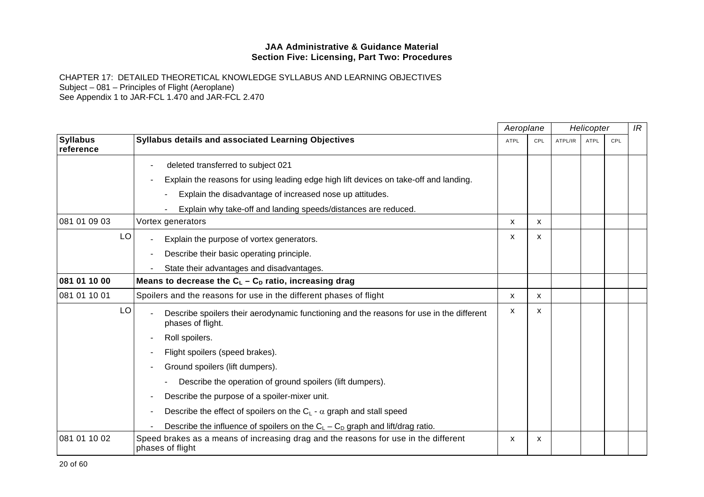|                              |                                                                                                               | Aeroplane   |          | Helicopter |             | IR  |  |
|------------------------------|---------------------------------------------------------------------------------------------------------------|-------------|----------|------------|-------------|-----|--|
| <b>Syllabus</b><br>reference | Syllabus details and associated Learning Objectives                                                           | <b>ATPL</b> | CPL      | ATPL/IR    | <b>ATPL</b> | CPL |  |
|                              | deleted transferred to subject 021                                                                            |             |          |            |             |     |  |
|                              | Explain the reasons for using leading edge high lift devices on take-off and landing.                         |             |          |            |             |     |  |
|                              | Explain the disadvantage of increased nose up attitudes.                                                      |             |          |            |             |     |  |
|                              | Explain why take-off and landing speeds/distances are reduced.                                                |             |          |            |             |     |  |
| 081 01 09 03                 | Vortex generators                                                                                             | X           | X.       |            |             |     |  |
| LO                           | Explain the purpose of vortex generators.                                                                     | X           | <b>X</b> |            |             |     |  |
|                              | Describe their basic operating principle.                                                                     |             |          |            |             |     |  |
|                              | State their advantages and disadvantages.                                                                     |             |          |            |             |     |  |
| 081 01 10 00                 | Means to decrease the $C_L - C_D$ ratio, increasing drag                                                      |             |          |            |             |     |  |
| 081 01 10 01                 | Spoilers and the reasons for use in the different phases of flight                                            | X           | X        |            |             |     |  |
| LO                           | Describe spoilers their aerodynamic functioning and the reasons for use in the different<br>phases of flight. | X           | X        |            |             |     |  |
|                              | Roll spoilers.                                                                                                |             |          |            |             |     |  |
|                              | Flight spoilers (speed brakes).                                                                               |             |          |            |             |     |  |
|                              | Ground spoilers (lift dumpers).                                                                               |             |          |            |             |     |  |
|                              | Describe the operation of ground spoilers (lift dumpers).                                                     |             |          |            |             |     |  |
|                              | Describe the purpose of a spoiler-mixer unit.                                                                 |             |          |            |             |     |  |
|                              | Describe the effect of spoilers on the $C_L$ - $\alpha$ graph and stall speed                                 |             |          |            |             |     |  |
|                              | Describe the influence of spoilers on the $C_L - C_D$ graph and lift/drag ratio.                              |             |          |            |             |     |  |
| 081 01 10 02                 | Speed brakes as a means of increasing drag and the reasons for use in the different<br>phases of flight       | x           | x        |            |             |     |  |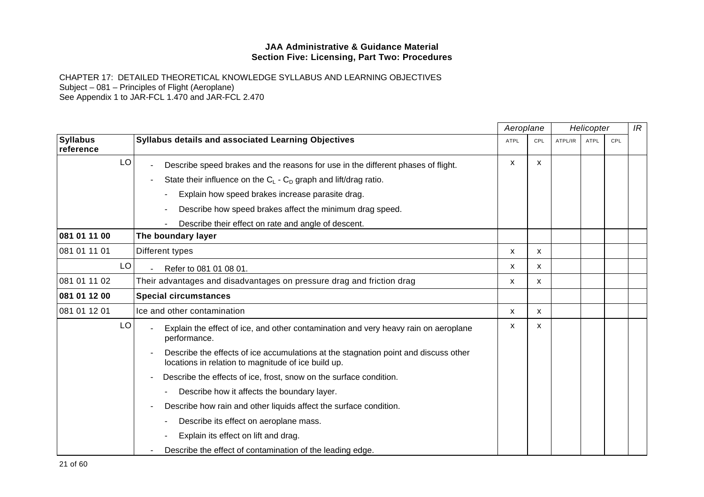|                              |                                                                                                                                            | Aeroplane   |                           | Helicopter |             |     | IR |
|------------------------------|--------------------------------------------------------------------------------------------------------------------------------------------|-------------|---------------------------|------------|-------------|-----|----|
| <b>Syllabus</b><br>reference | <b>Syllabus details and associated Learning Objectives</b>                                                                                 | <b>ATPL</b> | CPL                       | ATPL/IR    | <b>ATPL</b> | CPL |    |
| LO                           | Describe speed brakes and the reasons for use in the different phases of flight.                                                           | X           | X                         |            |             |     |    |
|                              | State their influence on the $C_L$ - $C_D$ graph and lift/drag ratio.                                                                      |             |                           |            |             |     |    |
|                              | Explain how speed brakes increase parasite drag.                                                                                           |             |                           |            |             |     |    |
|                              | Describe how speed brakes affect the minimum drag speed.                                                                                   |             |                           |            |             |     |    |
|                              | Describe their effect on rate and angle of descent.                                                                                        |             |                           |            |             |     |    |
| 081 01 11 00                 | The boundary layer                                                                                                                         |             |                           |            |             |     |    |
| 081 01 11 01                 | Different types                                                                                                                            | X           | $\mathsf{x}$              |            |             |     |    |
| LO                           | Refer to 081 01 08 01.                                                                                                                     | X           | X                         |            |             |     |    |
| 081 01 11 02                 | Their advantages and disadvantages on pressure drag and friction drag                                                                      | X           | X                         |            |             |     |    |
| 081 01 12 00                 | <b>Special circumstances</b>                                                                                                               |             |                           |            |             |     |    |
| 081 01 12 01                 | Ice and other contamination                                                                                                                | х           | X                         |            |             |     |    |
| LO                           | Explain the effect of ice, and other contamination and very heavy rain on aeroplane<br>performance.                                        | x           | $\boldsymbol{\mathsf{x}}$ |            |             |     |    |
|                              | Describe the effects of ice accumulations at the stagnation point and discuss other<br>locations in relation to magnitude of ice build up. |             |                           |            |             |     |    |
|                              | Describe the effects of ice, frost, snow on the surface condition.                                                                         |             |                           |            |             |     |    |
|                              | Describe how it affects the boundary layer.                                                                                                |             |                           |            |             |     |    |
|                              | Describe how rain and other liquids affect the surface condition.                                                                          |             |                           |            |             |     |    |
|                              | Describe its effect on aeroplane mass.                                                                                                     |             |                           |            |             |     |    |
|                              | Explain its effect on lift and drag.                                                                                                       |             |                           |            |             |     |    |
|                              | Describe the effect of contamination of the leading edge.                                                                                  |             |                           |            |             |     |    |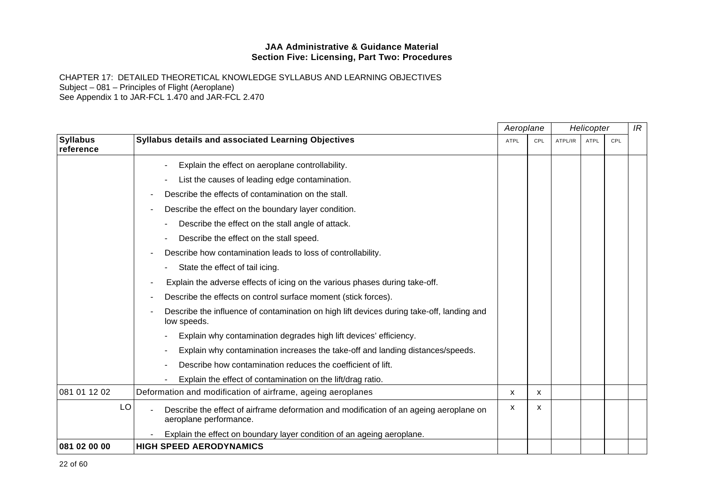|                              |                                                                                                                  | Aeroplane | Helicopter   |         |      | IR  |  |
|------------------------------|------------------------------------------------------------------------------------------------------------------|-----------|--------------|---------|------|-----|--|
| <b>Syllabus</b><br>reference | <b>Syllabus details and associated Learning Objectives</b>                                                       | ATPL      | CPL          | ATPL/IR | ATPL | CPL |  |
|                              | Explain the effect on aeroplane controllability.                                                                 |           |              |         |      |     |  |
|                              | List the causes of leading edge contamination.                                                                   |           |              |         |      |     |  |
|                              | Describe the effects of contamination on the stall.                                                              |           |              |         |      |     |  |
|                              | Describe the effect on the boundary layer condition.                                                             |           |              |         |      |     |  |
|                              | Describe the effect on the stall angle of attack.                                                                |           |              |         |      |     |  |
|                              | Describe the effect on the stall speed.                                                                          |           |              |         |      |     |  |
|                              | Describe how contamination leads to loss of controllability.                                                     |           |              |         |      |     |  |
|                              | State the effect of tail icing.                                                                                  |           |              |         |      |     |  |
|                              | Explain the adverse effects of icing on the various phases during take-off.                                      |           |              |         |      |     |  |
|                              | Describe the effects on control surface moment (stick forces).                                                   |           |              |         |      |     |  |
|                              | Describe the influence of contamination on high lift devices during take-off, landing and<br>low speeds.         |           |              |         |      |     |  |
|                              | Explain why contamination degrades high lift devices' efficiency.                                                |           |              |         |      |     |  |
|                              | Explain why contamination increases the take-off and landing distances/speeds.                                   |           |              |         |      |     |  |
|                              | Describe how contamination reduces the coefficient of lift.                                                      |           |              |         |      |     |  |
|                              | Explain the effect of contamination on the lift/drag ratio.                                                      |           |              |         |      |     |  |
| 081 01 12 02                 | Deformation and modification of airframe, ageing aeroplanes                                                      | X         | $\mathsf{x}$ |         |      |     |  |
| LO                           | Describe the effect of airframe deformation and modification of an ageing aeroplane on<br>aeroplane performance. | х         | x            |         |      |     |  |
|                              | Explain the effect on boundary layer condition of an ageing aeroplane.                                           |           |              |         |      |     |  |
| 081 02 00 00                 | <b>HIGH SPEED AERODYNAMICS</b>                                                                                   |           |              |         |      |     |  |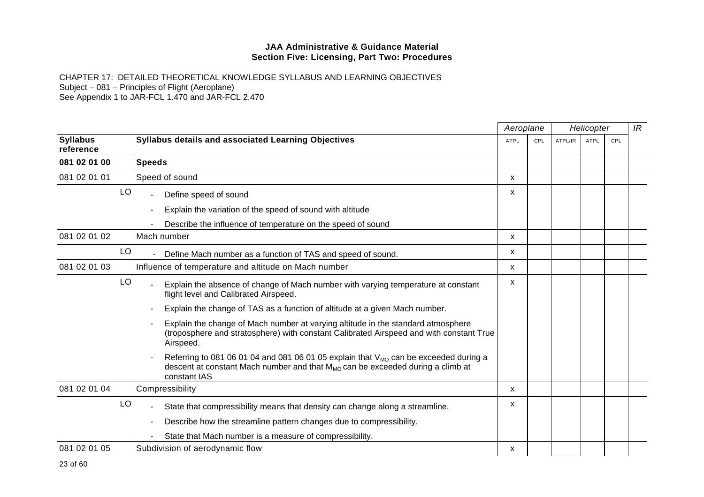|                              |                                                                                                                                                                                                  | Aeroplane   |     | Helicopter |             |     | IR |
|------------------------------|--------------------------------------------------------------------------------------------------------------------------------------------------------------------------------------------------|-------------|-----|------------|-------------|-----|----|
| <b>Syllabus</b><br>reference | <b>Syllabus details and associated Learning Objectives</b>                                                                                                                                       | <b>ATPL</b> | CPL | ATPL/IR    | <b>ATPL</b> | CPL |    |
| 081 02 01 00                 | <b>Speeds</b>                                                                                                                                                                                    |             |     |            |             |     |    |
| 081 02 01 01                 | Speed of sound                                                                                                                                                                                   | x           |     |            |             |     |    |
| LO                           | Define speed of sound                                                                                                                                                                            | X           |     |            |             |     |    |
|                              | Explain the variation of the speed of sound with altitude                                                                                                                                        |             |     |            |             |     |    |
|                              | Describe the influence of temperature on the speed of sound                                                                                                                                      |             |     |            |             |     |    |
| 081 02 01 02                 | Mach number                                                                                                                                                                                      | X           |     |            |             |     |    |
| LO                           | Define Mach number as a function of TAS and speed of sound.                                                                                                                                      | X           |     |            |             |     |    |
| 081 02 01 03                 | Influence of temperature and altitude on Mach number                                                                                                                                             | X           |     |            |             |     |    |
| LO                           | Explain the absence of change of Mach number with varying temperature at constant<br>flight level and Calibrated Airspeed.                                                                       | X           |     |            |             |     |    |
|                              | Explain the change of TAS as a function of altitude at a given Mach number.                                                                                                                      |             |     |            |             |     |    |
|                              | Explain the change of Mach number at varying altitude in the standard atmosphere<br>(troposphere and stratosphere) with constant Calibrated Airspeed and with constant True<br>Airspeed.         |             |     |            |             |     |    |
|                              | Referring to 081 06 01 04 and 081 06 01 05 explain that $V_{MO}$ can be exceeded during a<br>descent at constant Mach number and that $M_{MO}$ can be exceeded during a climb at<br>constant IAS |             |     |            |             |     |    |
| 081 02 01 04                 | Compressibility                                                                                                                                                                                  | x           |     |            |             |     |    |
| LO                           | State that compressibility means that density can change along a streamline.                                                                                                                     | x           |     |            |             |     |    |
|                              | Describe how the streamline pattern changes due to compressibility.                                                                                                                              |             |     |            |             |     |    |
|                              | State that Mach number is a measure of compressibility.                                                                                                                                          |             |     |            |             |     |    |
| 081 02 01 05                 | Subdivision of aerodynamic flow                                                                                                                                                                  | x           |     |            |             |     |    |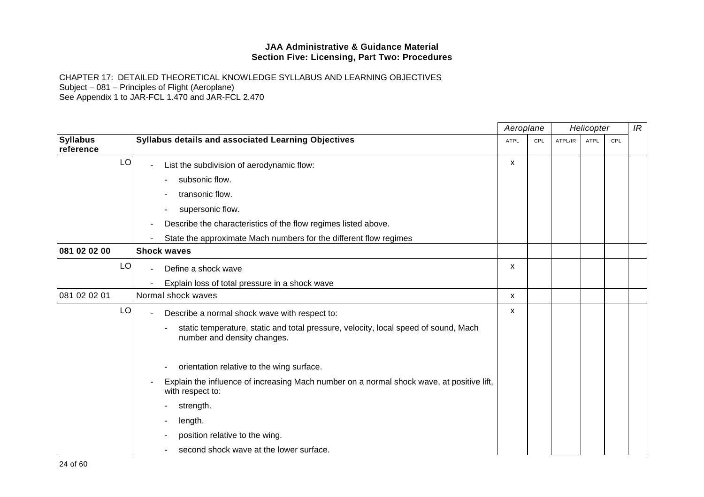|                              |                                                                                                                    | Aeroplane   |     | Helicopter |      | IR  |  |
|------------------------------|--------------------------------------------------------------------------------------------------------------------|-------------|-----|------------|------|-----|--|
| <b>Syllabus</b><br>reference | Syllabus details and associated Learning Objectives                                                                | <b>ATPL</b> | CPL | ATPL/IR    | ATPL | CPL |  |
| LO                           | List the subdivision of aerodynamic flow:                                                                          | X           |     |            |      |     |  |
|                              | subsonic flow.                                                                                                     |             |     |            |      |     |  |
|                              | transonic flow.                                                                                                    |             |     |            |      |     |  |
|                              | supersonic flow.                                                                                                   |             |     |            |      |     |  |
|                              | Describe the characteristics of the flow regimes listed above.                                                     |             |     |            |      |     |  |
|                              | State the approximate Mach numbers for the different flow regimes                                                  |             |     |            |      |     |  |
| 081 02 02 00                 | <b>Shock waves</b>                                                                                                 |             |     |            |      |     |  |
| LO                           | Define a shock wave                                                                                                | X           |     |            |      |     |  |
|                              | Explain loss of total pressure in a shock wave                                                                     |             |     |            |      |     |  |
| 081 02 02 01                 | Normal shock waves                                                                                                 | X           |     |            |      |     |  |
| LO                           | Describe a normal shock wave with respect to:                                                                      | X           |     |            |      |     |  |
|                              | static temperature, static and total pressure, velocity, local speed of sound, Mach<br>number and density changes. |             |     |            |      |     |  |
|                              | orientation relative to the wing surface.                                                                          |             |     |            |      |     |  |
|                              | Explain the influence of increasing Mach number on a normal shock wave, at positive lift,<br>with respect to:      |             |     |            |      |     |  |
|                              | strength.                                                                                                          |             |     |            |      |     |  |
|                              | length.                                                                                                            |             |     |            |      |     |  |
|                              | position relative to the wing.                                                                                     |             |     |            |      |     |  |
|                              | second shock wave at the lower surface.                                                                            |             |     |            |      |     |  |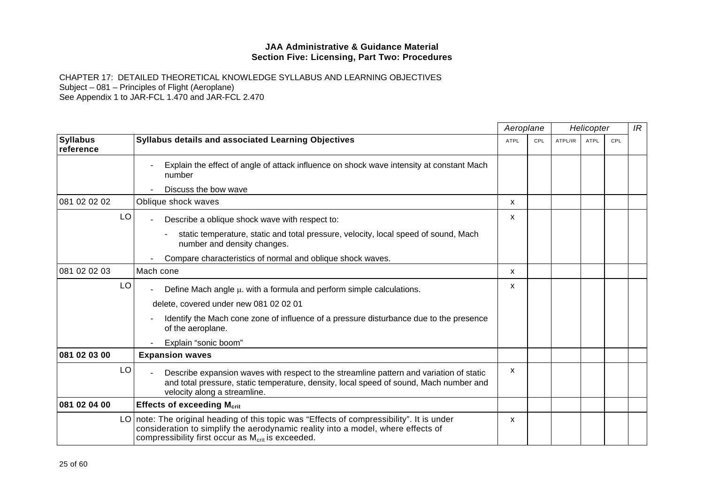|                              |    |                                                                                                                                                                                                                                                | Aeroplane   |     | Helicopter |             |     | IR |
|------------------------------|----|------------------------------------------------------------------------------------------------------------------------------------------------------------------------------------------------------------------------------------------------|-------------|-----|------------|-------------|-----|----|
| <b>Syllabus</b><br>reference |    | <b>Syllabus details and associated Learning Objectives</b>                                                                                                                                                                                     | <b>ATPL</b> | CPL | ATPL/IR    | <b>ATPL</b> | CPL |    |
|                              |    | Explain the effect of angle of attack influence on shock wave intensity at constant Mach<br>number                                                                                                                                             |             |     |            |             |     |    |
|                              |    | Discuss the bow wave                                                                                                                                                                                                                           |             |     |            |             |     |    |
| 081 02 02 02                 |    | Oblique shock waves                                                                                                                                                                                                                            | X           |     |            |             |     |    |
|                              | LO | Describe a oblique shock wave with respect to:                                                                                                                                                                                                 | X           |     |            |             |     |    |
|                              |    | static temperature, static and total pressure, velocity, local speed of sound, Mach<br>number and density changes.                                                                                                                             |             |     |            |             |     |    |
|                              |    | Compare characteristics of normal and oblique shock waves.                                                                                                                                                                                     |             |     |            |             |     |    |
| 081 02 02 03                 |    | Mach cone                                                                                                                                                                                                                                      | X           |     |            |             |     |    |
|                              | LO | Define Mach angle $\mu$ . with a formula and perform simple calculations.                                                                                                                                                                      | x           |     |            |             |     |    |
|                              |    | delete, covered under new 081 02 02 01                                                                                                                                                                                                         |             |     |            |             |     |    |
|                              |    | Identify the Mach cone zone of influence of a pressure disturbance due to the presence<br>of the aeroplane.                                                                                                                                    |             |     |            |             |     |    |
|                              |    | Explain "sonic boom"                                                                                                                                                                                                                           |             |     |            |             |     |    |
| 081 02 03 00                 |    | <b>Expansion waves</b>                                                                                                                                                                                                                         |             |     |            |             |     |    |
|                              | LO | Describe expansion waves with respect to the streamline pattern and variation of static<br>and total pressure, static temperature, density, local speed of sound, Mach number and<br>velocity along a streamline.                              | X           |     |            |             |     |    |
| 081 02 04 00                 |    | <b>Effects of exceeding Mcrit</b>                                                                                                                                                                                                              |             |     |            |             |     |    |
|                              |    | LO note: The original heading of this topic was "Effects of compressibility". It is under<br>consideration to simplify the aerodynamic reality into a model, where effects of<br>compressibility first occur as M <sub>crit</sub> is exceeded. | x           |     |            |             |     |    |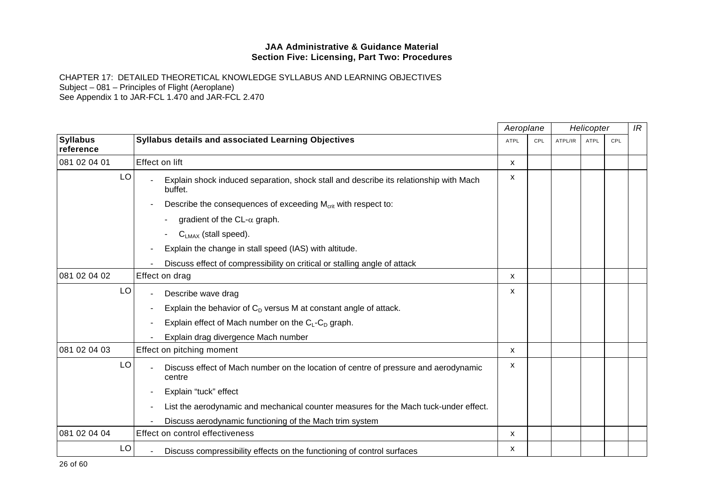|                              |                                                                                                  | Aeroplane<br>Helicopter |     |         | IR          |     |  |
|------------------------------|--------------------------------------------------------------------------------------------------|-------------------------|-----|---------|-------------|-----|--|
| <b>Syllabus</b><br>reference | Syllabus details and associated Learning Objectives                                              | <b>ATPL</b>             | CPL | ATPL/IR | <b>ATPL</b> | CPL |  |
| 081 02 04 01                 | <b>Effect on lift</b>                                                                            | X                       |     |         |             |     |  |
| LO                           | Explain shock induced separation, shock stall and describe its relationship with Mach<br>buffet. | х                       |     |         |             |     |  |
|                              | Describe the consequences of exceeding M <sub>crit</sub> with respect to:                        |                         |     |         |             |     |  |
|                              | gradient of the $CL-\alpha$ graph.                                                               |                         |     |         |             |     |  |
|                              | $C_{LMAX}$ (stall speed).                                                                        |                         |     |         |             |     |  |
|                              | Explain the change in stall speed (IAS) with altitude.                                           |                         |     |         |             |     |  |
|                              | Discuss effect of compressibility on critical or stalling angle of attack                        |                         |     |         |             |     |  |
| 081 02 04 02                 | Effect on drag                                                                                   | X                       |     |         |             |     |  |
| LO                           | Describe wave drag                                                                               | X                       |     |         |             |     |  |
|                              | Explain the behavior of $C_D$ versus M at constant angle of attack.                              |                         |     |         |             |     |  |
|                              | Explain effect of Mach number on the $C_L$ - $C_D$ graph.                                        |                         |     |         |             |     |  |
|                              | Explain drag divergence Mach number                                                              |                         |     |         |             |     |  |
| 081 02 04 03                 | Effect on pitching moment                                                                        | X                       |     |         |             |     |  |
| LO                           | Discuss effect of Mach number on the location of centre of pressure and aerodynamic<br>centre    | х                       |     |         |             |     |  |
|                              | Explain "tuck" effect                                                                            |                         |     |         |             |     |  |
|                              | List the aerodynamic and mechanical counter measures for the Mach tuck-under effect.             |                         |     |         |             |     |  |
|                              | Discuss aerodynamic functioning of the Mach trim system                                          |                         |     |         |             |     |  |
| 081 02 04 04                 | Effect on control effectiveness                                                                  | X                       |     |         |             |     |  |
| LO                           | Discuss compressibility effects on the functioning of control surfaces                           | x                       |     |         |             |     |  |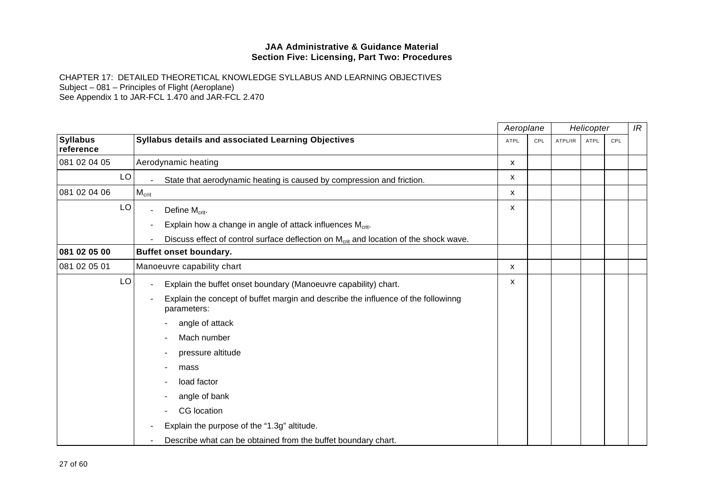|                              |    |                                                                                                   | Aeroplane   |     | Helicopter |             |     | IR |
|------------------------------|----|---------------------------------------------------------------------------------------------------|-------------|-----|------------|-------------|-----|----|
| <b>Syllabus</b><br>reference |    | Syllabus details and associated Learning Objectives                                               | <b>ATPL</b> | CPL | ATPL/IR    | <b>ATPL</b> | CPL |    |
| 081 02 04 05                 |    | Aerodynamic heating                                                                               | X.          |     |            |             |     |    |
|                              | LO | State that aerodynamic heating is caused by compression and friction.                             | X           |     |            |             |     |    |
| 081 02 04 06                 |    | $M_{\rm crit}$                                                                                    | X           |     |            |             |     |    |
|                              | LO | Define $M_{\text{crit}}$ .                                                                        | X           |     |            |             |     |    |
|                              |    | Explain how a change in angle of attack influences $M_{\text{crit}}$ .                            |             |     |            |             |     |    |
|                              |    | Discuss effect of control surface deflection on M <sub>crit</sub> and location of the shock wave. |             |     |            |             |     |    |
| 081 02 05 00                 |    | <b>Buffet onset boundary.</b>                                                                     |             |     |            |             |     |    |
| 081 02 05 01                 |    | Manoeuvre capability chart                                                                        | X           |     |            |             |     |    |
|                              | LO | Explain the buffet onset boundary (Manoeuvre capability) chart.                                   | X           |     |            |             |     |    |
|                              |    | Explain the concept of buffet margin and describe the influence of the followinng<br>parameters:  |             |     |            |             |     |    |
|                              |    | angle of attack                                                                                   |             |     |            |             |     |    |
|                              |    | Mach number                                                                                       |             |     |            |             |     |    |
|                              |    | pressure altitude                                                                                 |             |     |            |             |     |    |
|                              |    | mass                                                                                              |             |     |            |             |     |    |
|                              |    | load factor                                                                                       |             |     |            |             |     |    |
|                              |    | angle of bank                                                                                     |             |     |            |             |     |    |
|                              |    | CG location                                                                                       |             |     |            |             |     |    |
|                              |    | Explain the purpose of the "1.3g" altitude.                                                       |             |     |            |             |     |    |
|                              |    | Describe what can be obtained from the buffet boundary chart.                                     |             |     |            |             |     |    |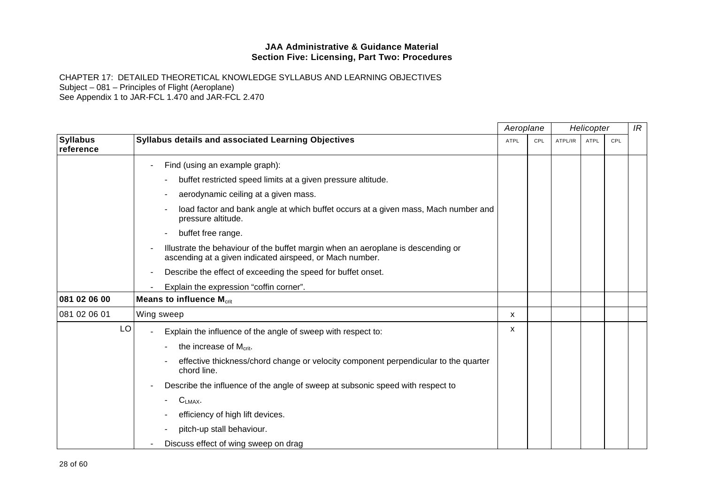|                              |                                                                                                                                              | Aeroplane |     | Helicopter |      |     | IR |
|------------------------------|----------------------------------------------------------------------------------------------------------------------------------------------|-----------|-----|------------|------|-----|----|
| <b>Syllabus</b><br>reference | <b>Syllabus details and associated Learning Objectives</b>                                                                                   | ATPL      | CPL | ATPL/IR    | ATPL | CPL |    |
|                              | Find (using an example graph):                                                                                                               |           |     |            |      |     |    |
|                              | buffet restricted speed limits at a given pressure altitude.                                                                                 |           |     |            |      |     |    |
|                              | aerodynamic ceiling at a given mass.                                                                                                         |           |     |            |      |     |    |
|                              | load factor and bank angle at which buffet occurs at a given mass, Mach number and<br>pressure altitude.                                     |           |     |            |      |     |    |
|                              | buffet free range.                                                                                                                           |           |     |            |      |     |    |
|                              | Illustrate the behaviour of the buffet margin when an aeroplane is descending or<br>ascending at a given indicated airspeed, or Mach number. |           |     |            |      |     |    |
|                              | Describe the effect of exceeding the speed for buffet onset.                                                                                 |           |     |            |      |     |    |
|                              | Explain the expression "coffin corner".                                                                                                      |           |     |            |      |     |    |
| 081 02 06 00                 | <b>Means to influence M<sub>crit</sub></b>                                                                                                   |           |     |            |      |     |    |
| 081 02 06 01                 | Wing sweep                                                                                                                                   | X         |     |            |      |     |    |
| LO                           | Explain the influence of the angle of sweep with respect to:                                                                                 | x         |     |            |      |     |    |
|                              | the increase of $M_{\text{crit}}$ .                                                                                                          |           |     |            |      |     |    |
|                              | effective thickness/chord change or velocity component perpendicular to the quarter<br>chord line.                                           |           |     |            |      |     |    |
|                              | Describe the influence of the angle of sweep at subsonic speed with respect to                                                               |           |     |            |      |     |    |
|                              | $C_{LMAX}$ .                                                                                                                                 |           |     |            |      |     |    |
|                              | efficiency of high lift devices.                                                                                                             |           |     |            |      |     |    |
|                              | pitch-up stall behaviour.                                                                                                                    |           |     |            |      |     |    |
|                              | Discuss effect of wing sweep on drag                                                                                                         |           |     |            |      |     |    |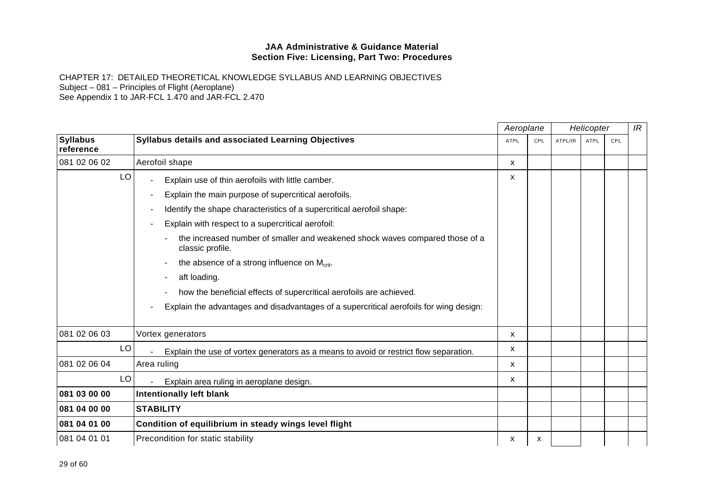|                              |                                                                                                  |             | Aeroplane |         | Helicopter  |     |  |
|------------------------------|--------------------------------------------------------------------------------------------------|-------------|-----------|---------|-------------|-----|--|
| <b>Syllabus</b><br>reference | <b>Syllabus details and associated Learning Objectives</b>                                       | <b>ATPL</b> | CPL       | ATPL/IR | <b>ATPL</b> | CPL |  |
| 081 02 06 02                 | Aerofoil shape                                                                                   | x           |           |         |             |     |  |
| LO                           | Explain use of thin aerofoils with little camber.                                                | X           |           |         |             |     |  |
|                              | Explain the main purpose of supercritical aerofoils.                                             |             |           |         |             |     |  |
|                              | Identify the shape characteristics of a supercritical aerofoil shape:                            |             |           |         |             |     |  |
|                              | Explain with respect to a supercritical aerofoil:                                                |             |           |         |             |     |  |
|                              | the increased number of smaller and weakened shock waves compared those of a<br>classic profile. |             |           |         |             |     |  |
|                              | the absence of a strong influence on M <sub>crit</sub> .                                         |             |           |         |             |     |  |
|                              | aft loading.                                                                                     |             |           |         |             |     |  |
|                              | how the beneficial effects of supercritical aerofoils are achieved.                              |             |           |         |             |     |  |
|                              | Explain the advantages and disadvantages of a supercritical aerofoils for wing design:           |             |           |         |             |     |  |
| 081 02 06 03                 | Vortex generators                                                                                | X           |           |         |             |     |  |
| LO                           | Explain the use of vortex generators as a means to avoid or restrict flow separation.            | x           |           |         |             |     |  |
| 081 02 06 04                 | Area ruling                                                                                      | X           |           |         |             |     |  |
| LO                           | Explain area ruling in aeroplane design.                                                         | x           |           |         |             |     |  |
| 081 03 00 00                 | <b>Intentionally left blank</b>                                                                  |             |           |         |             |     |  |
| 081 04 00 00                 | <b>STABILITY</b>                                                                                 |             |           |         |             |     |  |
| 081 04 01 00                 | Condition of equilibrium in steady wings level flight                                            |             |           |         |             |     |  |
| 081 04 01 01                 | Precondition for static stability                                                                | x           | х         |         |             |     |  |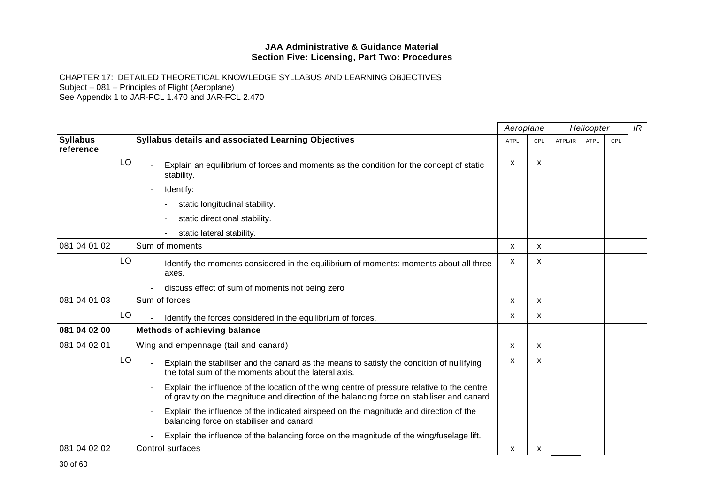|                              |                                                                                                                                                                                           | Aeroplane   |                           | Helicopter |             |     | IR |
|------------------------------|-------------------------------------------------------------------------------------------------------------------------------------------------------------------------------------------|-------------|---------------------------|------------|-------------|-----|----|
| <b>Syllabus</b><br>reference | <b>Syllabus details and associated Learning Objectives</b>                                                                                                                                | <b>ATPL</b> | <b>CPL</b>                | ATPL/IR    | <b>ATPL</b> | CPL |    |
| LO                           | Explain an equilibrium of forces and moments as the condition for the concept of static<br>stability.                                                                                     | X           | X                         |            |             |     |    |
|                              | Identify:                                                                                                                                                                                 |             |                           |            |             |     |    |
|                              | static longitudinal stability.                                                                                                                                                            |             |                           |            |             |     |    |
|                              | static directional stability.                                                                                                                                                             |             |                           |            |             |     |    |
|                              | static lateral stability.                                                                                                                                                                 |             |                           |            |             |     |    |
| 081 04 01 02                 | Sum of moments                                                                                                                                                                            | X           | $\boldsymbol{\mathsf{x}}$ |            |             |     |    |
| LO                           | Identify the moments considered in the equilibrium of moments: moments about all three<br>axes.                                                                                           | X           | $\boldsymbol{\mathsf{x}}$ |            |             |     |    |
|                              | discuss effect of sum of moments not being zero                                                                                                                                           |             |                           |            |             |     |    |
| 081 04 01 03                 | Sum of forces                                                                                                                                                                             | X           | $\boldsymbol{\mathsf{x}}$ |            |             |     |    |
| LO                           | Identify the forces considered in the equilibrium of forces.                                                                                                                              | x           | X                         |            |             |     |    |
| 081 04 02 00                 | <b>Methods of achieving balance</b>                                                                                                                                                       |             |                           |            |             |     |    |
| 081 04 02 01                 | Wing and empennage (tail and canard)                                                                                                                                                      | X           | $\mathsf{x}$              |            |             |     |    |
| LO                           | Explain the stabiliser and the canard as the means to satisfy the condition of nullifying<br>the total sum of the moments about the lateral axis.                                         | x           | x                         |            |             |     |    |
|                              | Explain the influence of the location of the wing centre of pressure relative to the centre<br>of gravity on the magnitude and direction of the balancing force on stabiliser and canard. |             |                           |            |             |     |    |
|                              | Explain the influence of the indicated airspeed on the magnitude and direction of the<br>balancing force on stabiliser and canard.                                                        |             |                           |            |             |     |    |
|                              | Explain the influence of the balancing force on the magnitude of the wing/fuselage lift.                                                                                                  |             |                           |            |             |     |    |
| 081 04 02 02                 | Control surfaces                                                                                                                                                                          | х           | x                         |            |             |     |    |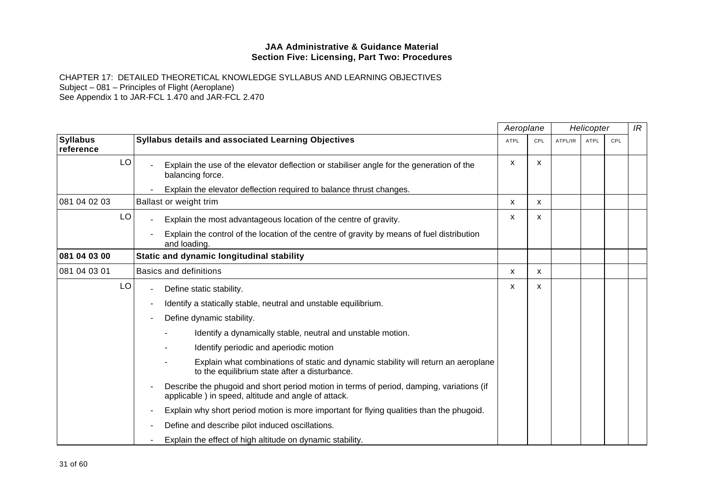|                              |    |                                                                                                                                                 | Aeroplane   |     |         | Helicopter  |     | IR |
|------------------------------|----|-------------------------------------------------------------------------------------------------------------------------------------------------|-------------|-----|---------|-------------|-----|----|
| <b>Syllabus</b><br>reference |    | Syllabus details and associated Learning Objectives                                                                                             | <b>ATPL</b> | CPL | ATPL/IR | <b>ATPL</b> | CPL |    |
|                              | LO | Explain the use of the elevator deflection or stabiliser angle for the generation of the<br>balancing force.                                    | X           | X   |         |             |     |    |
|                              |    | Explain the elevator deflection required to balance thrust changes.                                                                             |             |     |         |             |     |    |
| 081 04 02 03                 |    | Ballast or weight trim                                                                                                                          | X           | X   |         |             |     |    |
|                              | LO | Explain the most advantageous location of the centre of gravity.                                                                                | X           | X   |         |             |     |    |
|                              |    | Explain the control of the location of the centre of gravity by means of fuel distribution<br>and loading.                                      |             |     |         |             |     |    |
| 081 04 03 00                 |    | Static and dynamic longitudinal stability                                                                                                       |             |     |         |             |     |    |
| 081 04 03 01                 |    | <b>Basics and definitions</b>                                                                                                                   | x           | x   |         |             |     |    |
|                              | LO | Define static stability.                                                                                                                        | x           | x   |         |             |     |    |
|                              |    | Identify a statically stable, neutral and unstable equilibrium.                                                                                 |             |     |         |             |     |    |
|                              |    | Define dynamic stability.                                                                                                                       |             |     |         |             |     |    |
|                              |    | Identify a dynamically stable, neutral and unstable motion.                                                                                     |             |     |         |             |     |    |
|                              |    | Identify periodic and aperiodic motion                                                                                                          |             |     |         |             |     |    |
|                              |    | Explain what combinations of static and dynamic stability will return an aeroplane<br>to the equilibrium state after a disturbance.             |             |     |         |             |     |    |
|                              |    | Describe the phugoid and short period motion in terms of period, damping, variations (if<br>applicable) in speed, altitude and angle of attack. |             |     |         |             |     |    |
|                              |    | Explain why short period motion is more important for flying qualities than the phugoid.                                                        |             |     |         |             |     |    |
|                              |    | Define and describe pilot induced oscillations.                                                                                                 |             |     |         |             |     |    |
|                              |    | Explain the effect of high altitude on dynamic stability.                                                                                       |             |     |         |             |     |    |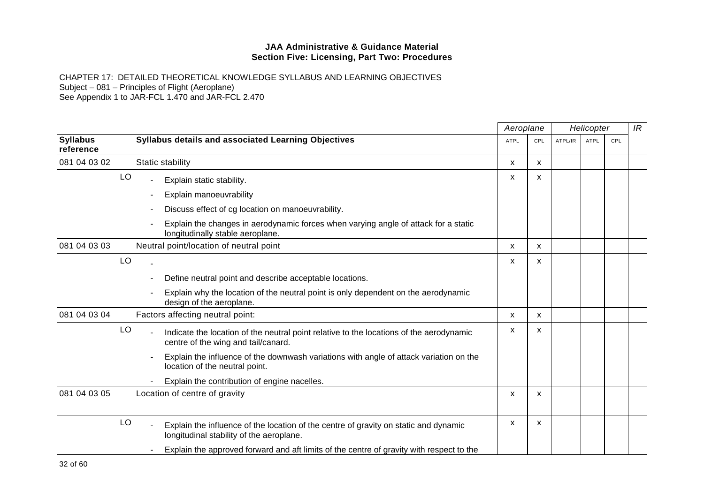|                              |                                                                                                                                  | Aeroplane   |                           | Helicopter |             |     | IR |
|------------------------------|----------------------------------------------------------------------------------------------------------------------------------|-------------|---------------------------|------------|-------------|-----|----|
| <b>Syllabus</b><br>reference | Syllabus details and associated Learning Objectives                                                                              | <b>ATPL</b> | CPL                       | ATPL/IR    | <b>ATPL</b> | CPL |    |
| 081 04 03 02                 | Static stability                                                                                                                 | X           | X                         |            |             |     |    |
| LO                           | Explain static stability.                                                                                                        | x           | X                         |            |             |     |    |
|                              | Explain manoeuvrability                                                                                                          |             |                           |            |             |     |    |
|                              | Discuss effect of cg location on manoeuvrability.                                                                                |             |                           |            |             |     |    |
|                              | Explain the changes in aerodynamic forces when varying angle of attack for a static<br>longitudinally stable aeroplane.          |             |                           |            |             |     |    |
| 081 04 03 03                 | Neutral point/location of neutral point                                                                                          | X           | $\mathsf{x}$              |            |             |     |    |
| LO                           |                                                                                                                                  | X           | $\boldsymbol{\mathsf{x}}$ |            |             |     |    |
|                              | Define neutral point and describe acceptable locations.                                                                          |             |                           |            |             |     |    |
|                              | Explain why the location of the neutral point is only dependent on the aerodynamic<br>design of the aeroplane.                   |             |                           |            |             |     |    |
| 081 04 03 04                 | Factors affecting neutral point:                                                                                                 | X           | X                         |            |             |     |    |
| LO                           | Indicate the location of the neutral point relative to the locations of the aerodynamic<br>centre of the wing and tail/canard.   | х           | $\boldsymbol{\mathsf{x}}$ |            |             |     |    |
|                              | Explain the influence of the downwash variations with angle of attack variation on the<br>location of the neutral point.         |             |                           |            |             |     |    |
|                              | Explain the contribution of engine nacelles.                                                                                     |             |                           |            |             |     |    |
| 081 04 03 05                 | Location of centre of gravity                                                                                                    | X           | X                         |            |             |     |    |
| LO                           | Explain the influence of the location of the centre of gravity on static and dynamic<br>longitudinal stability of the aeroplane. | X           | X                         |            |             |     |    |
|                              | Explain the approved forward and aft limits of the centre of gravity with respect to the                                         |             |                           |            |             |     |    |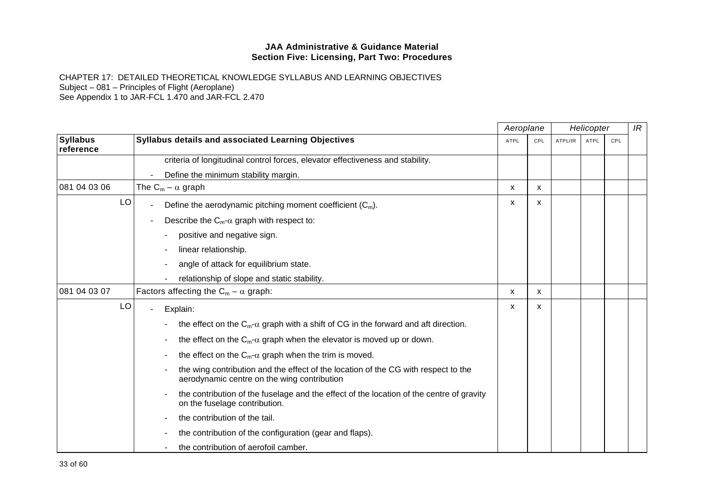|                              |                                                                                                                                   |             | Aeroplane<br>Helicopter |         |             | IR  |  |
|------------------------------|-----------------------------------------------------------------------------------------------------------------------------------|-------------|-------------------------|---------|-------------|-----|--|
| <b>Syllabus</b><br>reference | Syllabus details and associated Learning Objectives                                                                               | <b>ATPL</b> | CPL                     | ATPL/IR | <b>ATPL</b> | CPL |  |
|                              | criteria of longitudinal control forces, elevator effectiveness and stability.                                                    |             |                         |         |             |     |  |
|                              | Define the minimum stability margin.                                                                                              |             |                         |         |             |     |  |
| 081 04 03 06                 | The $C_m - \alpha$ graph                                                                                                          | X           | X                       |         |             |     |  |
| LO                           | Define the aerodynamic pitching moment coefficient $(C_m)$ .                                                                      | X           | X                       |         |             |     |  |
|                              | Describe the $C_m$ - $\alpha$ graph with respect to:                                                                              |             |                         |         |             |     |  |
|                              | positive and negative sign.                                                                                                       |             |                         |         |             |     |  |
|                              | linear relationship.                                                                                                              |             |                         |         |             |     |  |
|                              | angle of attack for equilibrium state.                                                                                            |             |                         |         |             |     |  |
|                              | relationship of slope and static stability.                                                                                       |             |                         |         |             |     |  |
| 081 04 03 07                 | Factors affecting the $C_m - \alpha$ graph:                                                                                       | х           | x                       |         |             |     |  |
| LO                           | Explain:                                                                                                                          | x           | X                       |         |             |     |  |
|                              | the effect on the $C_m$ - $\alpha$ graph with a shift of CG in the forward and aft direction.                                     |             |                         |         |             |     |  |
|                              | the effect on the $C_m$ - $\alpha$ graph when the elevator is moved up or down.                                                   |             |                         |         |             |     |  |
|                              | the effect on the $C_m$ - $\alpha$ graph when the trim is moved.                                                                  |             |                         |         |             |     |  |
|                              | the wing contribution and the effect of the location of the CG with respect to the<br>aerodynamic centre on the wing contribution |             |                         |         |             |     |  |
|                              | the contribution of the fuselage and the effect of the location of the centre of gravity<br>on the fuselage contribution.         |             |                         |         |             |     |  |
|                              | the contribution of the tail.                                                                                                     |             |                         |         |             |     |  |
|                              | the contribution of the configuration (gear and flaps).                                                                           |             |                         |         |             |     |  |
|                              | the contribution of aerofoil camber.                                                                                              |             |                         |         |             |     |  |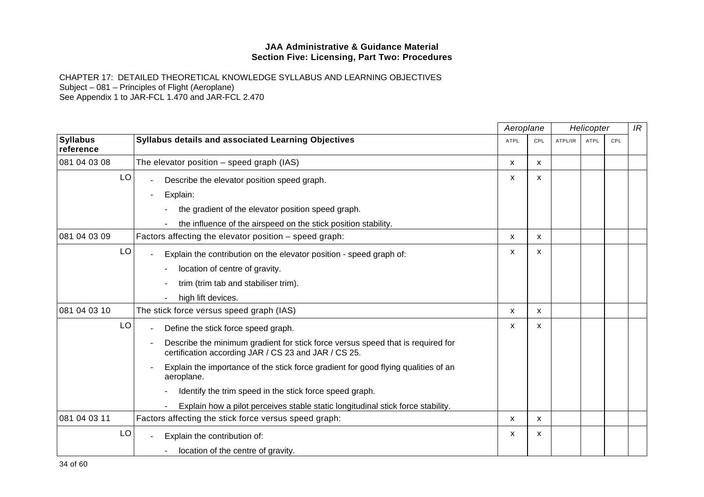|                              |                                                                                                                                         | Aeroplane   |              | Helicopter |             | IR         |  |
|------------------------------|-----------------------------------------------------------------------------------------------------------------------------------------|-------------|--------------|------------|-------------|------------|--|
| <b>Syllabus</b><br>reference | Syllabus details and associated Learning Objectives                                                                                     | <b>ATPL</b> | CPL          | ATPL/IR    | <b>ATPL</b> | <b>CPL</b> |  |
| 081 04 03 08                 | The elevator position $-$ speed graph (IAS)                                                                                             | X           | X            |            |             |            |  |
| LO                           | Describe the elevator position speed graph.                                                                                             | X           | X            |            |             |            |  |
|                              | Explain:                                                                                                                                |             |              |            |             |            |  |
|                              | the gradient of the elevator position speed graph.                                                                                      |             |              |            |             |            |  |
|                              | the influence of the airspeed on the stick position stability.                                                                          |             |              |            |             |            |  |
| 081 04 03 09                 | Factors affecting the elevator position - speed graph:                                                                                  | X           | $\mathsf{x}$ |            |             |            |  |
| LO                           | Explain the contribution on the elevator position - speed graph of:                                                                     | х           | X            |            |             |            |  |
|                              | location of centre of gravity.                                                                                                          |             |              |            |             |            |  |
|                              | trim (trim tab and stabiliser trim).                                                                                                    |             |              |            |             |            |  |
|                              | high lift devices.                                                                                                                      |             |              |            |             |            |  |
| 081 04 03 10                 | The stick force versus speed graph (IAS)                                                                                                | X           | X            |            |             |            |  |
| LO                           | Define the stick force speed graph.                                                                                                     | X           | X            |            |             |            |  |
|                              | Describe the minimum gradient for stick force versus speed that is required for<br>certification according JAR / CS 23 and JAR / CS 25. |             |              |            |             |            |  |
|                              | Explain the importance of the stick force gradient for good flying qualities of an<br>aeroplane.                                        |             |              |            |             |            |  |
|                              | Identify the trim speed in the stick force speed graph.                                                                                 |             |              |            |             |            |  |
|                              | Explain how a pilot perceives stable static longitudinal stick force stability.                                                         |             |              |            |             |            |  |
| 081 04 03 11                 | Factors affecting the stick force versus speed graph:                                                                                   | X           | X            |            |             |            |  |
| LO                           | Explain the contribution of:                                                                                                            | X           | X            |            |             |            |  |
|                              | location of the centre of gravity.                                                                                                      |             |              |            |             |            |  |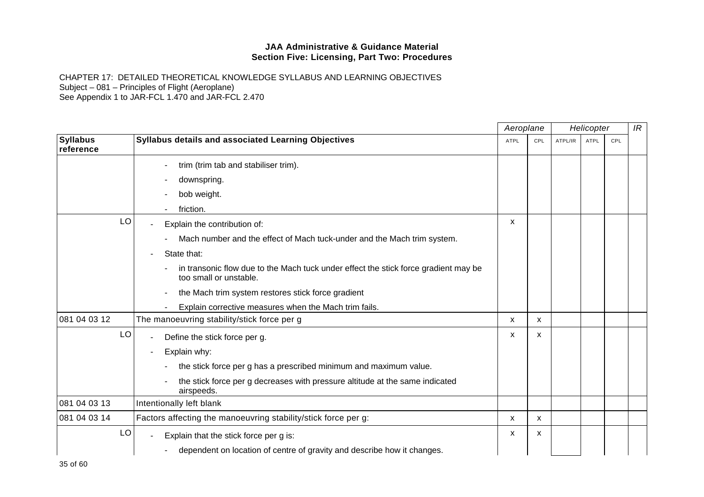|                              |                                                                                                               | Aeroplane   |     |         |             | Helicopter |  |
|------------------------------|---------------------------------------------------------------------------------------------------------------|-------------|-----|---------|-------------|------------|--|
| <b>Syllabus</b><br>reference | Syllabus details and associated Learning Objectives                                                           | <b>ATPL</b> | CPL | ATPL/IR | <b>ATPL</b> | <b>CPL</b> |  |
|                              | trim (trim tab and stabiliser trim).                                                                          |             |     |         |             |            |  |
|                              | downspring.                                                                                                   |             |     |         |             |            |  |
|                              | bob weight.                                                                                                   |             |     |         |             |            |  |
|                              | friction.                                                                                                     |             |     |         |             |            |  |
| LO                           | Explain the contribution of:                                                                                  | X           |     |         |             |            |  |
|                              | Mach number and the effect of Mach tuck-under and the Mach trim system.                                       |             |     |         |             |            |  |
|                              | State that:                                                                                                   |             |     |         |             |            |  |
|                              | in transonic flow due to the Mach tuck under effect the stick force gradient may be<br>too small or unstable. |             |     |         |             |            |  |
|                              | the Mach trim system restores stick force gradient                                                            |             |     |         |             |            |  |
|                              | Explain corrective measures when the Mach trim fails.                                                         |             |     |         |             |            |  |
| 081 04 03 12                 | The manoeuvring stability/stick force per g                                                                   | X           | x   |         |             |            |  |
| LO                           | Define the stick force per g.                                                                                 | x           | X   |         |             |            |  |
|                              | Explain why:                                                                                                  |             |     |         |             |            |  |
|                              | the stick force per g has a prescribed minimum and maximum value.                                             |             |     |         |             |            |  |
|                              | the stick force per g decreases with pressure altitude at the same indicated<br>airspeeds.                    |             |     |         |             |            |  |
| 081 04 03 13                 | Intentionally left blank                                                                                      |             |     |         |             |            |  |
| 081 04 03 14                 | Factors affecting the manoeuvring stability/stick force per g:                                                | x           | X   |         |             |            |  |
| LO                           | Explain that the stick force per g is:                                                                        | X           | X   |         |             |            |  |
|                              | dependent on location of centre of gravity and describe how it changes.                                       |             |     |         |             |            |  |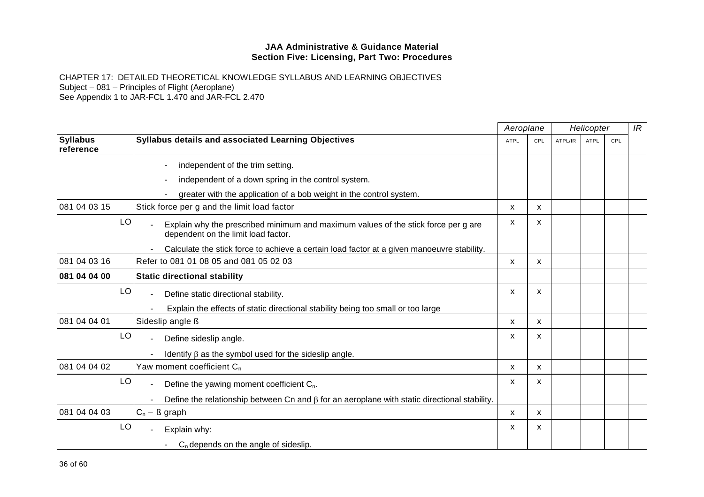|                              |                                                                                                                           | Aeroplane    |              | Helicopter |             |     | IR |
|------------------------------|---------------------------------------------------------------------------------------------------------------------------|--------------|--------------|------------|-------------|-----|----|
| <b>Syllabus</b><br>reference | Syllabus details and associated Learning Objectives                                                                       | <b>ATPL</b>  | CPL          | ATPL/IR    | <b>ATPL</b> | CPL |    |
|                              | independent of the trim setting.                                                                                          |              |              |            |             |     |    |
|                              | independent of a down spring in the control system.                                                                       |              |              |            |             |     |    |
|                              | greater with the application of a bob weight in the control system.                                                       |              |              |            |             |     |    |
| 081 04 03 15                 | Stick force per g and the limit load factor                                                                               | X            | X.           |            |             |     |    |
| LO                           | Explain why the prescribed minimum and maximum values of the stick force per g are<br>dependent on the limit load factor. | х            | x            |            |             |     |    |
|                              | Calculate the stick force to achieve a certain load factor at a given manoeuvre stability.                                |              |              |            |             |     |    |
| 081 04 03 16                 | Refer to 081 01 08 05 and 081 05 02 03                                                                                    | X            | X            |            |             |     |    |
| 081 04 04 00                 | <b>Static directional stability</b>                                                                                       |              |              |            |             |     |    |
| LO                           | Define static directional stability.                                                                                      | X            | X            |            |             |     |    |
|                              | Explain the effects of static directional stability being too small or too large                                          |              |              |            |             |     |    |
| 081 04 04 01                 | Sideslip angle ß                                                                                                          | X.           | X.           |            |             |     |    |
| LO                           | Define sideslip angle.                                                                                                    | X            | X            |            |             |     |    |
|                              | Identify $\beta$ as the symbol used for the sideslip angle.                                                               |              |              |            |             |     |    |
| 081 04 04 02                 | Yaw moment coefficient $C_n$                                                                                              | $\mathsf{x}$ | $\mathsf{x}$ |            |             |     |    |
| LO                           | Define the yawing moment coefficient $C_n$ .                                                                              | X            | X            |            |             |     |    |
|                              | Define the relationship between Cn and $\beta$ for an aeroplane with static directional stability.                        |              |              |            |             |     |    |
| 081 04 04 03                 | $C_n - \beta$ graph                                                                                                       | X            | X            |            |             |     |    |
| LO                           | Explain why:                                                                                                              | X            | x            |            |             |     |    |
|                              | $C_n$ depends on the angle of sideslip.                                                                                   |              |              |            |             |     |    |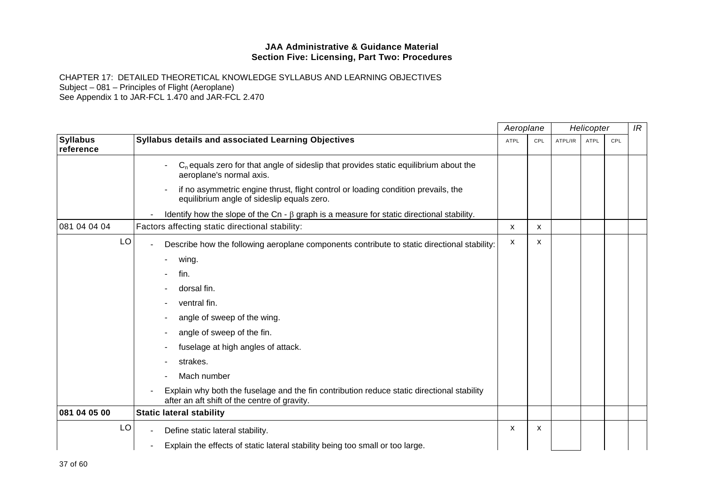|                              |                                                                                                                                            |             | Aeroplane |         | Helicopter  |     |  |
|------------------------------|--------------------------------------------------------------------------------------------------------------------------------------------|-------------|-----------|---------|-------------|-----|--|
| <b>Syllabus</b><br>reference | Syllabus details and associated Learning Objectives                                                                                        | <b>ATPL</b> | CPL       | ATPL/IR | <b>ATPL</b> | CPL |  |
|                              | $C_n$ equals zero for that angle of sideslip that provides static equilibrium about the<br>aeroplane's normal axis.                        |             |           |         |             |     |  |
|                              | if no asymmetric engine thrust, flight control or loading condition prevails, the<br>equilibrium angle of sideslip equals zero.            |             |           |         |             |     |  |
|                              | Identify how the slope of the Cn - $\beta$ graph is a measure for static directional stability.                                            |             |           |         |             |     |  |
| 081 04 04 04                 | Factors affecting static directional stability:                                                                                            | X           | X         |         |             |     |  |
| LO                           | Describe how the following aeroplane components contribute to static directional stability:                                                | x           | X         |         |             |     |  |
|                              | wing.                                                                                                                                      |             |           |         |             |     |  |
|                              | fin.                                                                                                                                       |             |           |         |             |     |  |
|                              | dorsal fin.                                                                                                                                |             |           |         |             |     |  |
|                              | ventral fin.                                                                                                                               |             |           |         |             |     |  |
|                              | angle of sweep of the wing.                                                                                                                |             |           |         |             |     |  |
|                              | angle of sweep of the fin.                                                                                                                 |             |           |         |             |     |  |
|                              | fuselage at high angles of attack.                                                                                                         |             |           |         |             |     |  |
|                              | strakes.                                                                                                                                   |             |           |         |             |     |  |
|                              | Mach number                                                                                                                                |             |           |         |             |     |  |
|                              | Explain why both the fuselage and the fin contribution reduce static directional stability<br>after an aft shift of the centre of gravity. |             |           |         |             |     |  |
| 081 04 05 00                 | <b>Static lateral stability</b>                                                                                                            |             |           |         |             |     |  |
| LO                           | Define static lateral stability.                                                                                                           | x           | X         |         |             |     |  |
|                              | Explain the effects of static lateral stability being too small or too large.                                                              |             |           |         |             |     |  |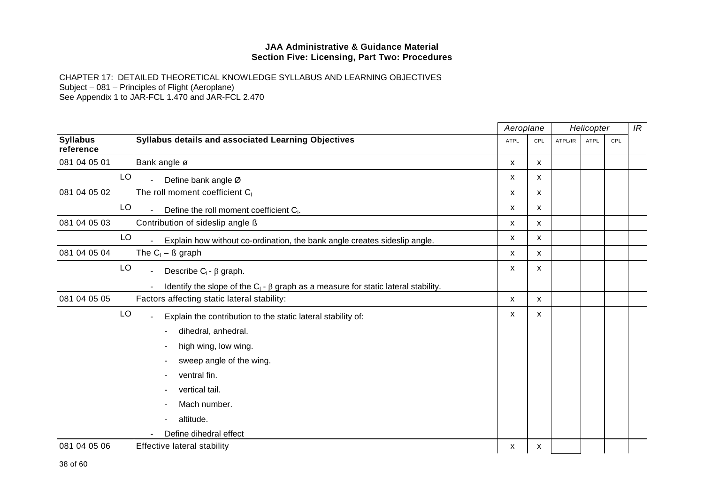|                              |                                                                                            | Aeroplane   |     | Helicopter |      | IR  |  |
|------------------------------|--------------------------------------------------------------------------------------------|-------------|-----|------------|------|-----|--|
| <b>Syllabus</b><br>reference | <b>Syllabus details and associated Learning Objectives</b>                                 | <b>ATPL</b> | CPL | ATPL/IR    | ATPL | CPL |  |
| 081 04 05 01                 | Bank angle ø                                                                               | X           | X   |            |      |     |  |
| LO                           | Define bank angle Ø                                                                        | X           | X   |            |      |     |  |
| 081 04 05 02                 | The roll moment coefficient C <sub>1</sub>                                                 | X           | X   |            |      |     |  |
| LO                           | Define the roll moment coefficient C <sub>1</sub> .                                        | X           | X   |            |      |     |  |
| 081 04 05 03                 | Contribution of sideslip angle ß                                                           | X           | X   |            |      |     |  |
| LO                           | Explain how without co-ordination, the bank angle creates sideslip angle.                  | X           | X   |            |      |     |  |
| 081 04 05 04                 | The $C_1 - B$ graph                                                                        | X           | X   |            |      |     |  |
| LO                           | Describe $C_1$ - $\beta$ graph.                                                            | X           | X   |            |      |     |  |
|                              | Identify the slope of the $C_1$ - $\beta$ graph as a measure for static lateral stability. |             |     |            |      |     |  |
| 081 04 05 05                 | Factors affecting static lateral stability:                                                | X           | X   |            |      |     |  |
| LO                           | Explain the contribution to the static lateral stability of:                               | х           | x   |            |      |     |  |
|                              | dihedral, anhedral.                                                                        |             |     |            |      |     |  |
|                              | high wing, low wing.                                                                       |             |     |            |      |     |  |
|                              | sweep angle of the wing.                                                                   |             |     |            |      |     |  |
|                              | ventral fin.                                                                               |             |     |            |      |     |  |
|                              | vertical tail.                                                                             |             |     |            |      |     |  |
|                              | Mach number.                                                                               |             |     |            |      |     |  |
|                              | altitude.                                                                                  |             |     |            |      |     |  |
|                              | Define dihedral effect                                                                     |             |     |            |      |     |  |
| 081 04 05 06                 | <b>Effective lateral stability</b>                                                         | x           | x   |            |      |     |  |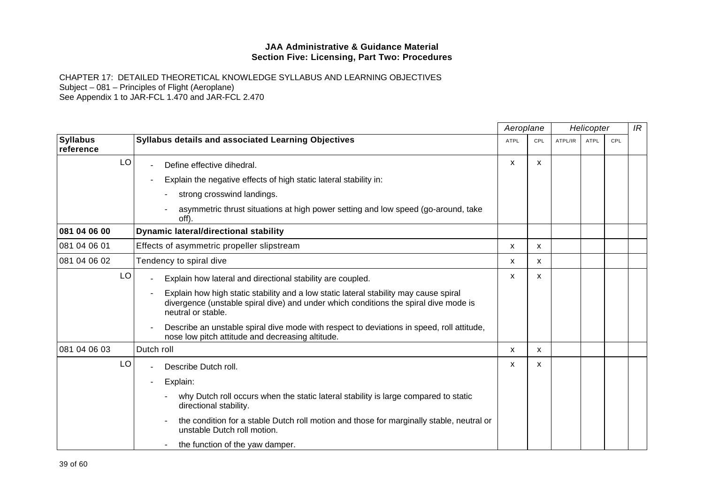|                              |                                                                                                                                                                                                     |             | Aeroplane |         | Helicopter  |     |  |  |
|------------------------------|-----------------------------------------------------------------------------------------------------------------------------------------------------------------------------------------------------|-------------|-----------|---------|-------------|-----|--|--|
| <b>Syllabus</b><br>reference | <b>Syllabus details and associated Learning Objectives</b>                                                                                                                                          | <b>ATPL</b> | CPL       | ATPL/IR | <b>ATPL</b> | CPL |  |  |
| LO                           | Define effective dihedral.                                                                                                                                                                          | X           | X         |         |             |     |  |  |
|                              | Explain the negative effects of high static lateral stability in:                                                                                                                                   |             |           |         |             |     |  |  |
|                              | strong crosswind landings.                                                                                                                                                                          |             |           |         |             |     |  |  |
|                              | asymmetric thrust situations at high power setting and low speed (go-around, take<br>off)                                                                                                           |             |           |         |             |     |  |  |
| 081 04 06 00                 | <b>Dynamic lateral/directional stability</b>                                                                                                                                                        |             |           |         |             |     |  |  |
| 081 04 06 01                 | Effects of asymmetric propeller slipstream                                                                                                                                                          | x           | x         |         |             |     |  |  |
| 081 04 06 02                 | Tendency to spiral dive                                                                                                                                                                             | X           | X         |         |             |     |  |  |
| LO                           | Explain how lateral and directional stability are coupled.                                                                                                                                          | x           | X         |         |             |     |  |  |
|                              | Explain how high static stability and a low static lateral stability may cause spiral<br>divergence (unstable spiral dive) and under which conditions the spiral dive mode is<br>neutral or stable. |             |           |         |             |     |  |  |
|                              | Describe an unstable spiral dive mode with respect to deviations in speed, roll attitude,<br>nose low pitch attitude and decreasing altitude.                                                       |             |           |         |             |     |  |  |
| 081 04 06 03                 | Dutch roll                                                                                                                                                                                          | X           | x         |         |             |     |  |  |
| LO                           | Describe Dutch roll.                                                                                                                                                                                | x           | X         |         |             |     |  |  |
|                              | Explain:                                                                                                                                                                                            |             |           |         |             |     |  |  |
|                              | why Dutch roll occurs when the static lateral stability is large compared to static<br>directional stability.                                                                                       |             |           |         |             |     |  |  |
|                              | the condition for a stable Dutch roll motion and those for marginally stable, neutral or<br>unstable Dutch roll motion.                                                                             |             |           |         |             |     |  |  |
|                              | the function of the yaw damper.                                                                                                                                                                     |             |           |         |             |     |  |  |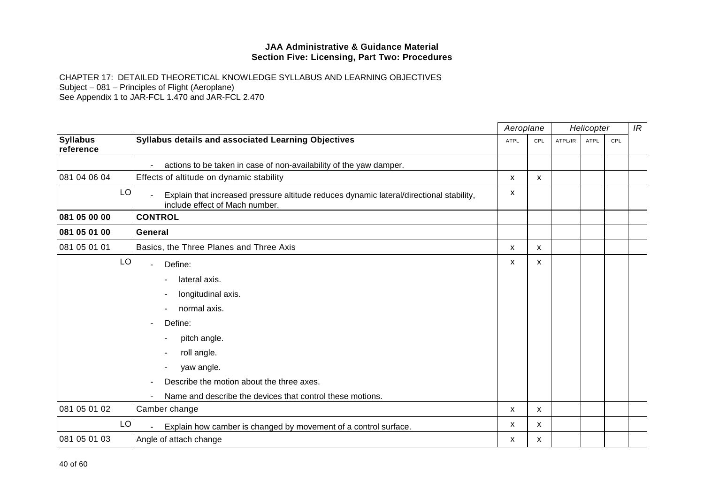|                              |                                                                                                                                                                     | Aeroplane   |     | Helicopter |             |     | IR |
|------------------------------|---------------------------------------------------------------------------------------------------------------------------------------------------------------------|-------------|-----|------------|-------------|-----|----|
| <b>Syllabus</b><br>reference | Syllabus details and associated Learning Objectives                                                                                                                 | <b>ATPL</b> | CPL | ATPL/IR    | <b>ATPL</b> | CPL |    |
|                              | actions to be taken in case of non-availability of the yaw damper.                                                                                                  |             |     |            |             |     |    |
| 081 04 06 04                 | Effects of altitude on dynamic stability                                                                                                                            | X           | X   |            |             |     |    |
| LO                           | Explain that increased pressure altitude reduces dynamic lateral/directional stability,<br>include effect of Mach number.                                           | X           |     |            |             |     |    |
| 081 05 00 00                 | <b>CONTROL</b>                                                                                                                                                      |             |     |            |             |     |    |
| 081 05 01 00                 | General                                                                                                                                                             |             |     |            |             |     |    |
| 081 05 01 01                 | Basics, the Three Planes and Three Axis                                                                                                                             | X           | X   |            |             |     |    |
| LO                           | Define:<br>lateral axis.<br>longitudinal axis.<br>normal axis.<br>Define:<br>pitch angle.<br>roll angle.<br>yaw angle.<br>Describe the motion about the three axes. | x           | X   |            |             |     |    |
| 081 05 01 02                 | Name and describe the devices that control these motions.<br>Camber change                                                                                          | x           | X   |            |             |     |    |
| LO                           | Explain how camber is changed by movement of a control surface.                                                                                                     | x           | х   |            |             |     |    |
| 081 05 01 03                 | Angle of attach change                                                                                                                                              | x           | X   |            |             |     |    |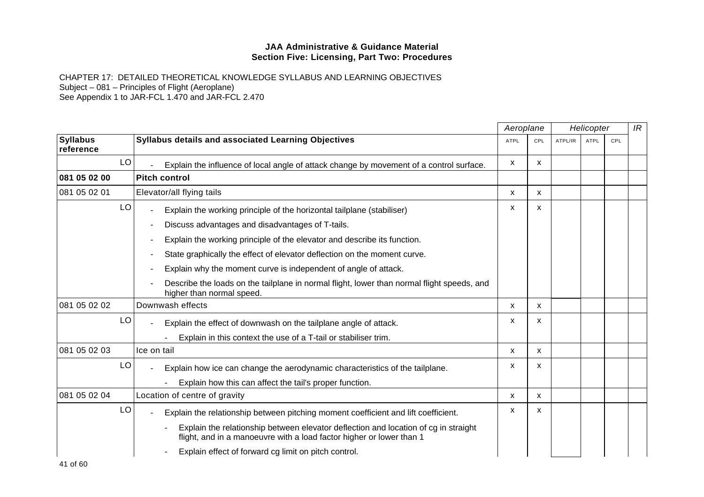|                              |                                                                                                                                                             | Aeroplane |              | Helicopter |             | IR  |  |
|------------------------------|-------------------------------------------------------------------------------------------------------------------------------------------------------------|-----------|--------------|------------|-------------|-----|--|
| <b>Syllabus</b><br>reference | <b>Syllabus details and associated Learning Objectives</b>                                                                                                  | ATPL      | CPL          | ATPL/IR    | <b>ATPL</b> | CPL |  |
| LO                           | Explain the influence of local angle of attack change by movement of a control surface.                                                                     | X         | x            |            |             |     |  |
| 081 05 02 00                 | <b>Pitch control</b>                                                                                                                                        |           |              |            |             |     |  |
| 081 05 02 01                 | Elevator/all flying tails                                                                                                                                   | X         | X            |            |             |     |  |
| LO                           | Explain the working principle of the horizontal tailplane (stabiliser)                                                                                      | X         | x            |            |             |     |  |
|                              | Discuss advantages and disadvantages of T-tails.                                                                                                            |           |              |            |             |     |  |
|                              | Explain the working principle of the elevator and describe its function.                                                                                    |           |              |            |             |     |  |
|                              | State graphically the effect of elevator deflection on the moment curve.                                                                                    |           |              |            |             |     |  |
|                              | Explain why the moment curve is independent of angle of attack.                                                                                             |           |              |            |             |     |  |
|                              | Describe the loads on the tailplane in normal flight, lower than normal flight speeds, and<br>higher than normal speed.                                     |           |              |            |             |     |  |
| 081 05 02 02                 | Downwash effects                                                                                                                                            | X         | $\mathsf{x}$ |            |             |     |  |
| LO                           | Explain the effect of downwash on the tailplane angle of attack.                                                                                            | x         | x            |            |             |     |  |
|                              | Explain in this context the use of a T-tail or stabiliser trim.                                                                                             |           |              |            |             |     |  |
| 081 05 02 03                 | Ice on tail                                                                                                                                                 | x         | X            |            |             |     |  |
| LO                           | Explain how ice can change the aerodynamic characteristics of the tailplane.                                                                                | x         | X            |            |             |     |  |
|                              | Explain how this can affect the tail's proper function.                                                                                                     |           |              |            |             |     |  |
| 081 05 02 04                 | Location of centre of gravity                                                                                                                               | X         | X            |            |             |     |  |
| LO                           | Explain the relationship between pitching moment coefficient and lift coefficient.                                                                          | x         | x            |            |             |     |  |
|                              | Explain the relationship between elevator deflection and location of cg in straight<br>flight, and in a manoeuvre with a load factor higher or lower than 1 |           |              |            |             |     |  |
|                              | Explain effect of forward cg limit on pitch control.                                                                                                        |           |              |            |             |     |  |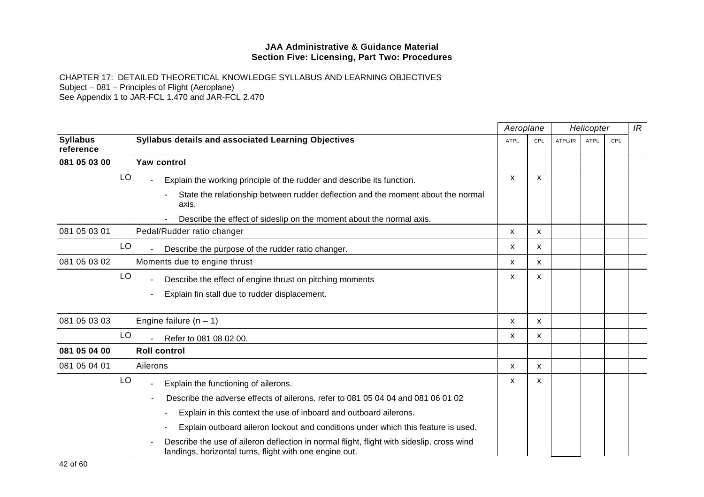|                              |                                                                                                                                                      | Aeroplane<br>Helicopter |     |         | IR          |     |  |
|------------------------------|------------------------------------------------------------------------------------------------------------------------------------------------------|-------------------------|-----|---------|-------------|-----|--|
| <b>Syllabus</b><br>reference | <b>Syllabus details and associated Learning Objectives</b>                                                                                           | <b>ATPL</b>             | CPL | ATPL/IR | <b>ATPL</b> | CPL |  |
| 081 05 03 00                 | Yaw control                                                                                                                                          |                         |     |         |             |     |  |
| LO                           | Explain the working principle of the rudder and describe its function.                                                                               | $\mathsf{x}$            | X   |         |             |     |  |
|                              | State the relationship between rudder deflection and the moment about the normal<br>axis.                                                            |                         |     |         |             |     |  |
|                              | Describe the effect of sideslip on the moment about the normal axis.                                                                                 |                         |     |         |             |     |  |
| 081 05 03 01                 | Pedal/Rudder ratio changer                                                                                                                           | X                       | X   |         |             |     |  |
| LO                           | Describe the purpose of the rudder ratio changer.                                                                                                    | X                       | X   |         |             |     |  |
| 081 05 03 02                 | Moments due to engine thrust                                                                                                                         | $\mathsf{x}$            | X   |         |             |     |  |
| LO                           | Describe the effect of engine thrust on pitching moments                                                                                             | X                       | X   |         |             |     |  |
|                              | Explain fin stall due to rudder displacement.                                                                                                        |                         |     |         |             |     |  |
| 081 05 03 03                 | Engine failure $(n - 1)$                                                                                                                             | X                       | X   |         |             |     |  |
| LO                           | Refer to 081 08 02 00.                                                                                                                               | x                       | X   |         |             |     |  |
| 081 05 04 00                 | <b>Roll control</b>                                                                                                                                  |                         |     |         |             |     |  |
| 081 05 04 01                 | Ailerons                                                                                                                                             | x                       | x   |         |             |     |  |
| LO                           | Explain the functioning of ailerons.<br>٠                                                                                                            | X                       | X   |         |             |     |  |
|                              | Describe the adverse effects of ailerons, refer to 081 05 04 04 and 081 06 01 02                                                                     |                         |     |         |             |     |  |
|                              | Explain in this context the use of inboard and outboard ailerons.                                                                                    |                         |     |         |             |     |  |
|                              | Explain outboard aileron lockout and conditions under which this feature is used.                                                                    |                         |     |         |             |     |  |
|                              | Describe the use of aileron deflection in normal flight, flight with sideslip, cross wind<br>landings, horizontal turns, flight with one engine out. |                         |     |         |             |     |  |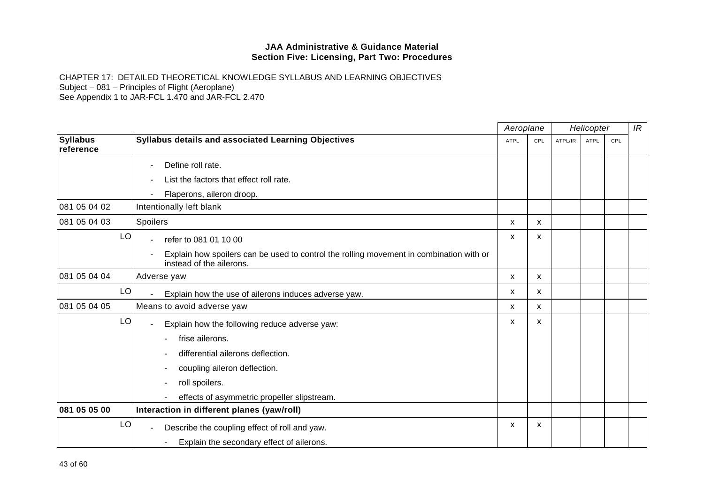|                              |                                                                                                                     |             | Aeroplane | Helicopter |             |     | IR |
|------------------------------|---------------------------------------------------------------------------------------------------------------------|-------------|-----------|------------|-------------|-----|----|
| <b>Syllabus</b><br>reference | Syllabus details and associated Learning Objectives                                                                 | <b>ATPL</b> | CPL       | ATPL/IR    | <b>ATPL</b> | CPL |    |
|                              | Define roll rate.                                                                                                   |             |           |            |             |     |    |
|                              | List the factors that effect roll rate.                                                                             |             |           |            |             |     |    |
|                              | Flaperons, aileron droop.                                                                                           |             |           |            |             |     |    |
| 081 05 04 02                 | Intentionally left blank                                                                                            |             |           |            |             |     |    |
| 081 05 04 03                 | Spoilers                                                                                                            | X           | X         |            |             |     |    |
| LO                           | refer to 081 01 10 00                                                                                               | X           | x         |            |             |     |    |
|                              | Explain how spoilers can be used to control the rolling movement in combination with or<br>instead of the ailerons. |             |           |            |             |     |    |
| 081 05 04 04                 | Adverse yaw                                                                                                         | X           | X         |            |             |     |    |
| LO                           | Explain how the use of ailerons induces adverse yaw.                                                                | х           | x         |            |             |     |    |
| 081 05 04 05                 | Means to avoid adverse yaw                                                                                          | X           | x         |            |             |     |    |
| LO                           | Explain how the following reduce adverse yaw:                                                                       | x           | X         |            |             |     |    |
|                              | frise ailerons.                                                                                                     |             |           |            |             |     |    |
|                              | differential ailerons deflection.                                                                                   |             |           |            |             |     |    |
|                              | coupling aileron deflection.                                                                                        |             |           |            |             |     |    |
|                              | roll spoilers.                                                                                                      |             |           |            |             |     |    |
|                              | effects of asymmetric propeller slipstream.                                                                         |             |           |            |             |     |    |
| 081 05 05 00                 | Interaction in different planes (yaw/roll)                                                                          |             |           |            |             |     |    |
| LO                           | Describe the coupling effect of roll and yaw.                                                                       | X           | X         |            |             |     |    |
|                              | Explain the secondary effect of ailerons.                                                                           |             |           |            |             |     |    |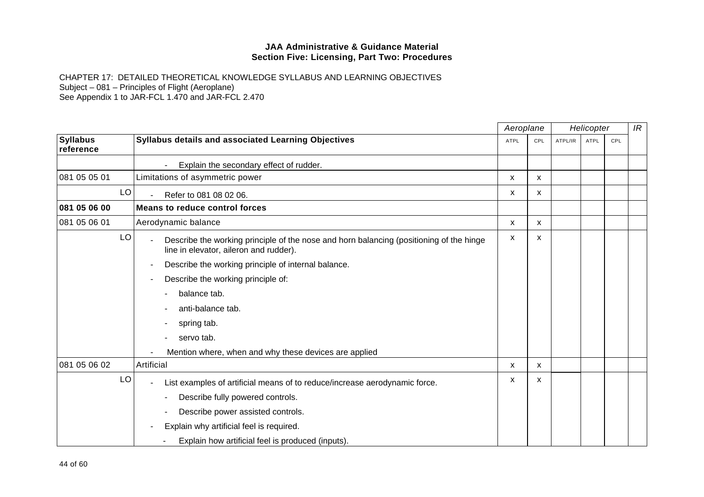|                              |                                                                                                                                   |             | Aeroplane |         | Helicopter  |     |  |
|------------------------------|-----------------------------------------------------------------------------------------------------------------------------------|-------------|-----------|---------|-------------|-----|--|
| <b>Syllabus</b><br>reference | <b>Syllabus details and associated Learning Objectives</b>                                                                        | <b>ATPL</b> | CPL       | ATPL/IR | <b>ATPL</b> | CPL |  |
|                              | Explain the secondary effect of rudder.                                                                                           |             |           |         |             |     |  |
| 081 05 05 01                 | Limitations of asymmetric power                                                                                                   | X           | X         |         |             |     |  |
| LO                           | Refer to 081 08 02 06.                                                                                                            | x           | х         |         |             |     |  |
| 081 05 06 00                 | Means to reduce control forces                                                                                                    |             |           |         |             |     |  |
| 081 05 06 01                 | Aerodynamic balance                                                                                                               | x           | x         |         |             |     |  |
| LO                           | Describe the working principle of the nose and horn balancing (positioning of the hinge<br>line in elevator, aileron and rudder). | X           | X         |         |             |     |  |
|                              | Describe the working principle of internal balance.                                                                               |             |           |         |             |     |  |
|                              | Describe the working principle of:                                                                                                |             |           |         |             |     |  |
|                              | balance tab.                                                                                                                      |             |           |         |             |     |  |
|                              | anti-balance tab.                                                                                                                 |             |           |         |             |     |  |
|                              | spring tab.                                                                                                                       |             |           |         |             |     |  |
|                              | servo tab.                                                                                                                        |             |           |         |             |     |  |
|                              | Mention where, when and why these devices are applied                                                                             |             |           |         |             |     |  |
| 081 05 06 02                 | Artificial                                                                                                                        | X           | X         |         |             |     |  |
| LO                           | List examples of artificial means of to reduce/increase aerodynamic force.                                                        | х           | X         |         |             |     |  |
|                              | Describe fully powered controls.                                                                                                  |             |           |         |             |     |  |
|                              | Describe power assisted controls.                                                                                                 |             |           |         |             |     |  |
|                              | Explain why artificial feel is required.                                                                                          |             |           |         |             |     |  |
|                              | Explain how artificial feel is produced (inputs).                                                                                 |             |           |         |             |     |  |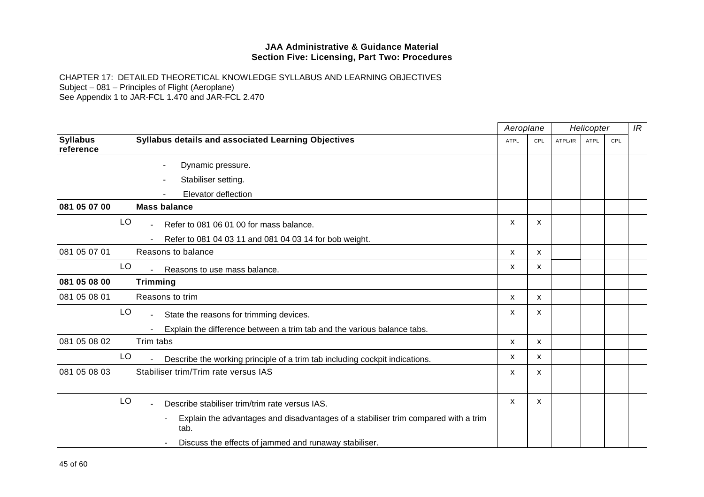|                              |                                                                                            | Aeroplane<br>Helicopter |     |         | IR          |     |  |
|------------------------------|--------------------------------------------------------------------------------------------|-------------------------|-----|---------|-------------|-----|--|
| <b>Syllabus</b><br>reference | Syllabus details and associated Learning Objectives                                        | <b>ATPL</b>             | CPL | ATPL/IR | <b>ATPL</b> | CPL |  |
|                              | Dynamic pressure.                                                                          |                         |     |         |             |     |  |
|                              | Stabiliser setting.                                                                        |                         |     |         |             |     |  |
|                              | Elevator deflection                                                                        |                         |     |         |             |     |  |
| 081 05 07 00                 | <b>Mass balance</b>                                                                        |                         |     |         |             |     |  |
| LO                           | Refer to 081 06 01 00 for mass balance.<br>$\blacksquare$                                  | X                       | X   |         |             |     |  |
|                              | Refer to 081 04 03 11 and 081 04 03 14 for bob weight.                                     |                         |     |         |             |     |  |
| 081 05 07 01                 | Reasons to balance                                                                         | X                       | X   |         |             |     |  |
| LO                           | Reasons to use mass balance.                                                               | x                       | X   |         |             |     |  |
| 081 05 08 00                 | <b>Trimming</b>                                                                            |                         |     |         |             |     |  |
| 081 05 08 01                 | Reasons to trim                                                                            | X                       | X   |         |             |     |  |
| LO                           | State the reasons for trimming devices.                                                    | X                       | X   |         |             |     |  |
|                              | Explain the difference between a trim tab and the various balance tabs.                    |                         |     |         |             |     |  |
| 081 05 08 02                 | Trim tabs                                                                                  | x                       | X   |         |             |     |  |
| LO                           | Describe the working principle of a trim tab including cockpit indications.                | X                       | X   |         |             |     |  |
| 081 05 08 03                 | Stabiliser trim/Trim rate versus IAS                                                       | х                       | X   |         |             |     |  |
| LO                           | Describe stabiliser trim/trim rate versus IAS.                                             | X                       | X   |         |             |     |  |
|                              | Explain the advantages and disadvantages of a stabiliser trim compared with a trim<br>tab. |                         |     |         |             |     |  |
|                              | Discuss the effects of jammed and runaway stabiliser.                                      |                         |     |         |             |     |  |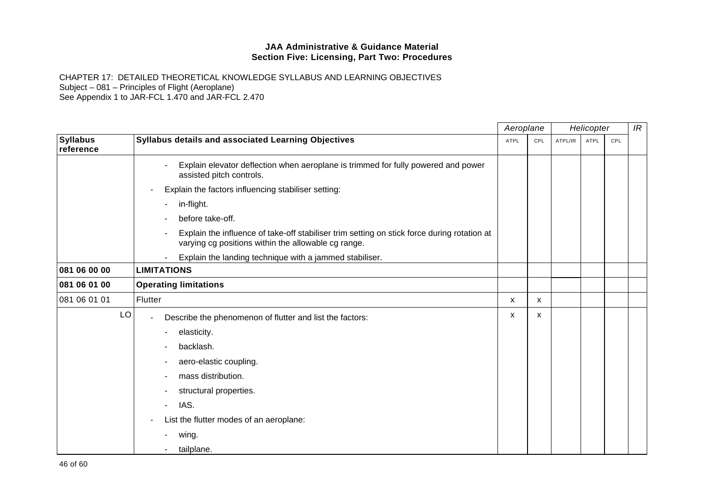|                              |                                                                                                                                                    | Aeroplane   |     | Helicopter |             | IR  |  |
|------------------------------|----------------------------------------------------------------------------------------------------------------------------------------------------|-------------|-----|------------|-------------|-----|--|
| <b>Syllabus</b><br>reference | Syllabus details and associated Learning Objectives                                                                                                | <b>ATPL</b> | CPL | ATPL/IR    | <b>ATPL</b> | CPL |  |
|                              | Explain elevator deflection when aeroplane is trimmed for fully powered and power<br>assisted pitch controls.                                      |             |     |            |             |     |  |
|                              | Explain the factors influencing stabiliser setting:                                                                                                |             |     |            |             |     |  |
|                              | in-flight.                                                                                                                                         |             |     |            |             |     |  |
|                              | before take-off.                                                                                                                                   |             |     |            |             |     |  |
|                              | Explain the influence of take-off stabiliser trim setting on stick force during rotation at<br>varying cg positions within the allowable cg range. |             |     |            |             |     |  |
|                              | Explain the landing technique with a jammed stabiliser.                                                                                            |             |     |            |             |     |  |
| 081 06 00 00                 | <b>LIMITATIONS</b>                                                                                                                                 |             |     |            |             |     |  |
| 081 06 01 00                 | <b>Operating limitations</b>                                                                                                                       |             |     |            |             |     |  |
| 081 06 01 01                 | Flutter                                                                                                                                            | X           | X   |            |             |     |  |
| LO                           | Describe the phenomenon of flutter and list the factors:<br>$\overline{\phantom{a}}$                                                               | x           | X   |            |             |     |  |
|                              | elasticity.                                                                                                                                        |             |     |            |             |     |  |
|                              | backlash.                                                                                                                                          |             |     |            |             |     |  |
|                              | aero-elastic coupling.                                                                                                                             |             |     |            |             |     |  |
|                              | mass distribution.                                                                                                                                 |             |     |            |             |     |  |
|                              | structural properties.                                                                                                                             |             |     |            |             |     |  |
|                              | IAS.<br>÷.                                                                                                                                         |             |     |            |             |     |  |
|                              | List the flutter modes of an aeroplane:                                                                                                            |             |     |            |             |     |  |
|                              | wing.                                                                                                                                              |             |     |            |             |     |  |
|                              | tailplane.                                                                                                                                         |             |     |            |             |     |  |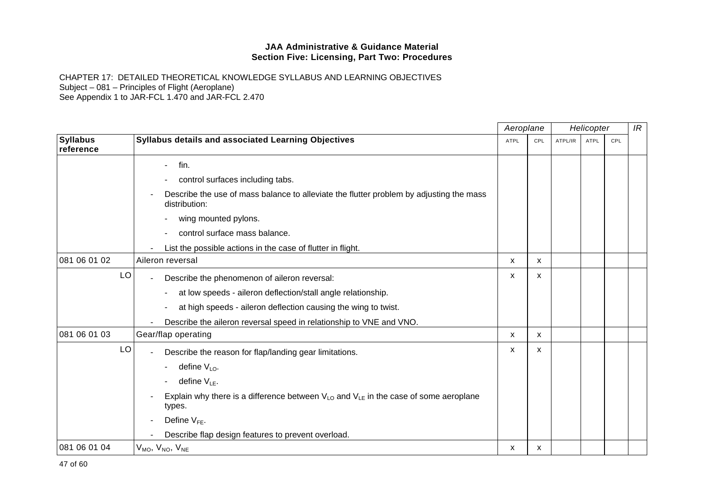|                              |                                                                                                                       | Aeroplane   |              | Helicopter |             | IR  |  |
|------------------------------|-----------------------------------------------------------------------------------------------------------------------|-------------|--------------|------------|-------------|-----|--|
| <b>Syllabus</b><br>reference | Syllabus details and associated Learning Objectives                                                                   | <b>ATPL</b> | CPL          | ATPL/IR    | <b>ATPL</b> | CPL |  |
|                              | fin.<br>$\blacksquare$                                                                                                |             |              |            |             |     |  |
|                              | control surfaces including tabs.                                                                                      |             |              |            |             |     |  |
|                              | Describe the use of mass balance to alleviate the flutter problem by adjusting the mass<br>distribution:              |             |              |            |             |     |  |
|                              | wing mounted pylons.                                                                                                  |             |              |            |             |     |  |
|                              | control surface mass balance.                                                                                         |             |              |            |             |     |  |
|                              | List the possible actions in the case of flutter in flight.                                                           |             |              |            |             |     |  |
| 081 06 01 02                 | Aileron reversal                                                                                                      | X           | X            |            |             |     |  |
| LO                           | Describe the phenomenon of aileron reversal:                                                                          | x           | X            |            |             |     |  |
|                              | at low speeds - aileron deflection/stall angle relationship.                                                          |             |              |            |             |     |  |
|                              | at high speeds - aileron deflection causing the wing to twist.                                                        |             |              |            |             |     |  |
|                              | Describe the aileron reversal speed in relationship to VNE and VNO.                                                   |             |              |            |             |     |  |
| 081 06 01 03                 | Gear/flap operating                                                                                                   | X           | $\mathsf{x}$ |            |             |     |  |
| LO                           | Describe the reason for flap/landing gear limitations.                                                                | x           | $\mathsf{x}$ |            |             |     |  |
|                              | define $V_{LO}$ .                                                                                                     |             |              |            |             |     |  |
|                              | define $V_{LE}$ .                                                                                                     |             |              |            |             |     |  |
|                              | Explain why there is a difference between $V_{\text{LO}}$ and $V_{\text{LE}}$ in the case of some aeroplane<br>types. |             |              |            |             |     |  |
|                              | Define $V_{FE}$ .                                                                                                     |             |              |            |             |     |  |
|                              | Describe flap design features to prevent overload.                                                                    |             |              |            |             |     |  |
| 081 06 01 04                 | $V_{MO}$ , $V_{NO}$ , $V_{NE}$                                                                                        | x           | X            |            |             |     |  |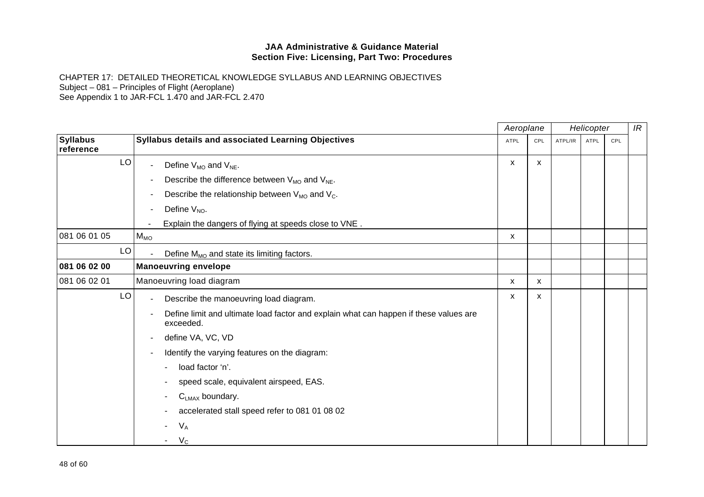|                              |                                                                                                    | Aeroplane   |     | Helicopter |      | IR  |  |
|------------------------------|----------------------------------------------------------------------------------------------------|-------------|-----|------------|------|-----|--|
| <b>Syllabus</b><br>reference | Syllabus details and associated Learning Objectives                                                | <b>ATPL</b> | CPL | ATPL/IR    | ATPL | CPL |  |
| LO                           | Define $V_{MO}$ and $V_{NE}$ .                                                                     | x           | x   |            |      |     |  |
|                              | Describe the difference between $V_{MO}$ and $V_{NE}$ .                                            |             |     |            |      |     |  |
|                              | Describe the relationship between $V_{MO}$ and $V_C$ .<br>$\overline{\phantom{a}}$                 |             |     |            |      |     |  |
|                              | Define $V_{NO}$ .                                                                                  |             |     |            |      |     |  |
|                              | Explain the dangers of flying at speeds close to VNE.                                              |             |     |            |      |     |  |
| 081 06 01 05                 | $M_{MO}$                                                                                           | x           |     |            |      |     |  |
| LO                           | Define M <sub>MO</sub> and state its limiting factors.                                             |             |     |            |      |     |  |
| 081 06 02 00                 | <b>Manoeuvring envelope</b>                                                                        |             |     |            |      |     |  |
| 081 06 02 01                 | Manoeuvring load diagram                                                                           | X           | x   |            |      |     |  |
| LO                           | Describe the manoeuvring load diagram.                                                             | x           | X   |            |      |     |  |
|                              | Define limit and ultimate load factor and explain what can happen if these values are<br>exceeded. |             |     |            |      |     |  |
|                              | define VA, VC, VD                                                                                  |             |     |            |      |     |  |
|                              | Identify the varying features on the diagram:                                                      |             |     |            |      |     |  |
|                              | load factor 'n'.                                                                                   |             |     |            |      |     |  |
|                              | speed scale, equivalent airspeed, EAS.                                                             |             |     |            |      |     |  |
|                              | $C_{LMAX}$ boundary.                                                                               |             |     |            |      |     |  |
|                              | accelerated stall speed refer to 081 01 08 02                                                      |             |     |            |      |     |  |
|                              | $V_A$                                                                                              |             |     |            |      |     |  |
|                              | $V_{\rm C}$                                                                                        |             |     |            |      |     |  |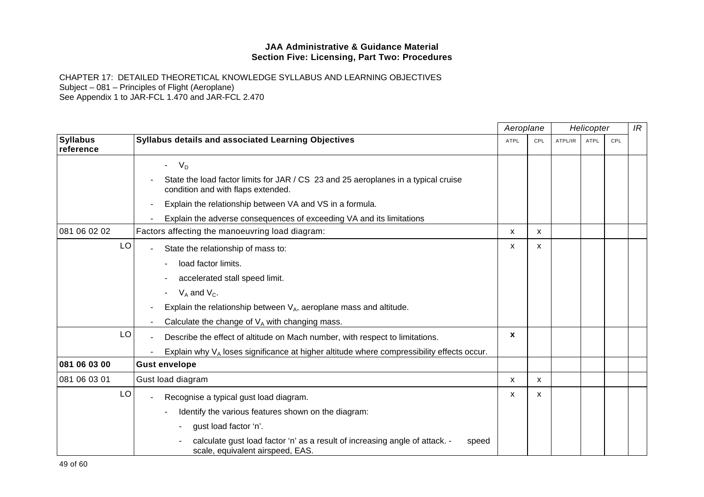|                              |                                                                                                                          | Aeroplane    |     |         | Helicopter  |     | IR |
|------------------------------|--------------------------------------------------------------------------------------------------------------------------|--------------|-----|---------|-------------|-----|----|
| <b>Syllabus</b><br>reference | Syllabus details and associated Learning Objectives                                                                      | <b>ATPL</b>  | CPL | ATPL/IR | <b>ATPL</b> | CPL |    |
|                              | $-VD$                                                                                                                    |              |     |         |             |     |    |
|                              | State the load factor limits for JAR / CS 23 and 25 aeroplanes in a typical cruise<br>condition and with flaps extended. |              |     |         |             |     |    |
|                              | Explain the relationship between VA and VS in a formula.                                                                 |              |     |         |             |     |    |
|                              | Explain the adverse consequences of exceeding VA and its limitations                                                     |              |     |         |             |     |    |
| 081 06 02 02                 | Factors affecting the manoeuvring load diagram:                                                                          | X            | X   |         |             |     |    |
| LO                           | State the relationship of mass to:                                                                                       | X            | X   |         |             |     |    |
|                              | load factor limits.                                                                                                      |              |     |         |             |     |    |
|                              | accelerated stall speed limit.                                                                                           |              |     |         |             |     |    |
|                              | $V_A$ and $V_C$ .                                                                                                        |              |     |         |             |     |    |
|                              | Explain the relationship between $V_A$ , aeroplane mass and altitude.                                                    |              |     |         |             |     |    |
|                              | Calculate the change of $V_A$ with changing mass.                                                                        |              |     |         |             |     |    |
| LO                           | Describe the effect of altitude on Mach number, with respect to limitations.                                             | $\mathbf{x}$ |     |         |             |     |    |
|                              | Explain why $V_A$ loses significance at higher altitude where compressibility effects occur.                             |              |     |         |             |     |    |
| 081 06 03 00                 | <b>Gust envelope</b>                                                                                                     |              |     |         |             |     |    |
| 081 06 03 01                 | Gust load diagram                                                                                                        | X            | X   |         |             |     |    |
| LO                           | Recognise a typical gust load diagram.                                                                                   | x            | X   |         |             |     |    |
|                              | Identify the various features shown on the diagram:                                                                      |              |     |         |             |     |    |
|                              | gust load factor 'n'.                                                                                                    |              |     |         |             |     |    |
|                              | calculate gust load factor 'n' as a result of increasing angle of attack. -<br>speed<br>scale, equivalent airspeed, EAS. |              |     |         |             |     |    |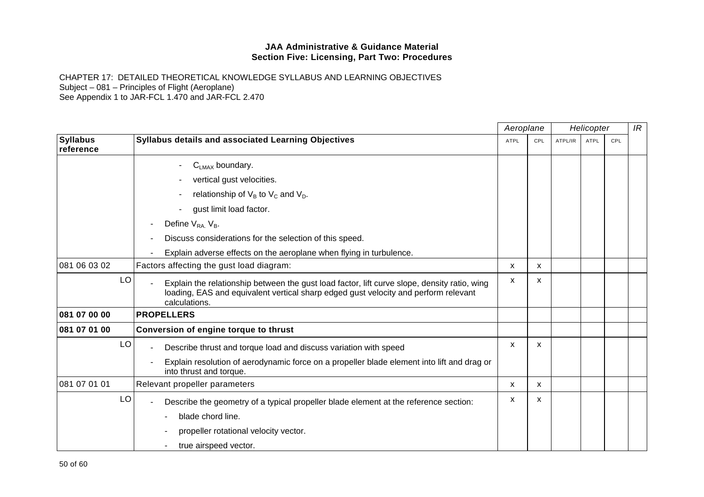|                              |    |                                                                                                                                                                                                      | Aeroplane   |     |         | Helicopter  |     | IR |
|------------------------------|----|------------------------------------------------------------------------------------------------------------------------------------------------------------------------------------------------------|-------------|-----|---------|-------------|-----|----|
| <b>Syllabus</b><br>reference |    | Syllabus details and associated Learning Objectives                                                                                                                                                  | <b>ATPL</b> | CPL | ATPL/IR | <b>ATPL</b> | CPL |    |
|                              |    | $C_{LMAX}$ boundary.                                                                                                                                                                                 |             |     |         |             |     |    |
|                              |    | vertical gust velocities.                                                                                                                                                                            |             |     |         |             |     |    |
|                              |    | relationship of $V_B$ to $V_C$ and $V_D$ .                                                                                                                                                           |             |     |         |             |     |    |
|                              |    | gust limit load factor.                                                                                                                                                                              |             |     |         |             |     |    |
|                              |    | Define $V_{RA}$ , $V_B$ .                                                                                                                                                                            |             |     |         |             |     |    |
|                              |    | Discuss considerations for the selection of this speed.                                                                                                                                              |             |     |         |             |     |    |
|                              |    | Explain adverse effects on the aeroplane when flying in turbulence.                                                                                                                                  |             |     |         |             |     |    |
| 081 06 03 02                 |    | Factors affecting the gust load diagram:                                                                                                                                                             | X           | X   |         |             |     |    |
|                              | LO | Explain the relationship between the gust load factor, lift curve slope, density ratio, wing<br>loading, EAS and equivalent vertical sharp edged gust velocity and perform relevant<br>calculations. | X           | x   |         |             |     |    |
| 081 07 00 00                 |    | <b>PROPELLERS</b>                                                                                                                                                                                    |             |     |         |             |     |    |
| 081 07 01 00                 |    | Conversion of engine torque to thrust                                                                                                                                                                |             |     |         |             |     |    |
|                              | LO | Describe thrust and torque load and discuss variation with speed                                                                                                                                     | X           | x   |         |             |     |    |
|                              |    | Explain resolution of aerodynamic force on a propeller blade element into lift and drag or<br>into thrust and torque.                                                                                |             |     |         |             |     |    |
| 081 07 01 01                 |    | Relevant propeller parameters                                                                                                                                                                        | х           | x   |         |             |     |    |
|                              | LO | Describe the geometry of a typical propeller blade element at the reference section:                                                                                                                 | X           | X   |         |             |     |    |
|                              |    | blade chord line.                                                                                                                                                                                    |             |     |         |             |     |    |
|                              |    | propeller rotational velocity vector.                                                                                                                                                                |             |     |         |             |     |    |
|                              |    | true airspeed vector.                                                                                                                                                                                |             |     |         |             |     |    |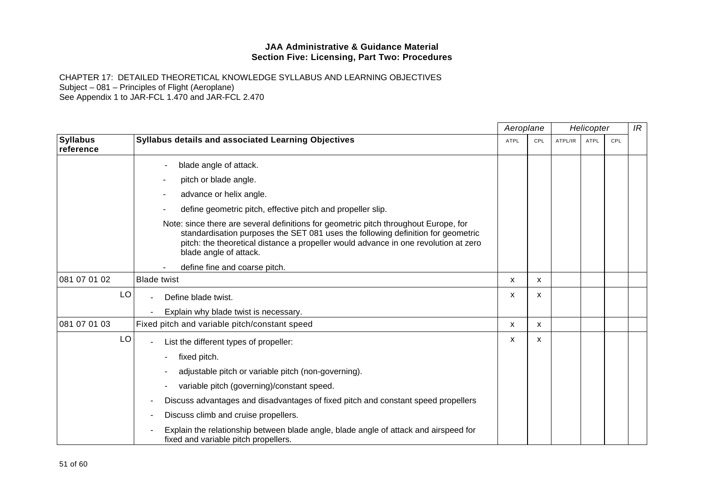|                              |                                                                                                                                                                                                                                                                                           | Aeroplane   |     |         | Helicopter |     | IR |
|------------------------------|-------------------------------------------------------------------------------------------------------------------------------------------------------------------------------------------------------------------------------------------------------------------------------------------|-------------|-----|---------|------------|-----|----|
| <b>Syllabus</b><br>reference | Syllabus details and associated Learning Objectives                                                                                                                                                                                                                                       | <b>ATPL</b> | CPL | ATPL/IR | ATPL       | CPL |    |
|                              | blade angle of attack.                                                                                                                                                                                                                                                                    |             |     |         |            |     |    |
|                              | pitch or blade angle.                                                                                                                                                                                                                                                                     |             |     |         |            |     |    |
|                              | advance or helix angle.                                                                                                                                                                                                                                                                   |             |     |         |            |     |    |
|                              | define geometric pitch, effective pitch and propeller slip.                                                                                                                                                                                                                               |             |     |         |            |     |    |
|                              | Note: since there are several definitions for geometric pitch throughout Europe, for<br>standardisation purposes the SET 081 uses the following definition for geometric<br>pitch: the theoretical distance a propeller would advance in one revolution at zero<br>blade angle of attack. |             |     |         |            |     |    |
|                              | define fine and coarse pitch.                                                                                                                                                                                                                                                             |             |     |         |            |     |    |
| 081 07 01 02                 | <b>Blade twist</b>                                                                                                                                                                                                                                                                        | X           | X   |         |            |     |    |
| LO                           | Define blade twist.                                                                                                                                                                                                                                                                       | x           | X   |         |            |     |    |
|                              | Explain why blade twist is necessary.                                                                                                                                                                                                                                                     |             |     |         |            |     |    |
| 081 07 01 03                 | Fixed pitch and variable pitch/constant speed                                                                                                                                                                                                                                             | X           | X   |         |            |     |    |
| LO                           | List the different types of propeller:                                                                                                                                                                                                                                                    | x           | x   |         |            |     |    |
|                              | fixed pitch.                                                                                                                                                                                                                                                                              |             |     |         |            |     |    |
|                              | adjustable pitch or variable pitch (non-governing).                                                                                                                                                                                                                                       |             |     |         |            |     |    |
|                              | variable pitch (governing)/constant speed.                                                                                                                                                                                                                                                |             |     |         |            |     |    |
|                              | Discuss advantages and disadvantages of fixed pitch and constant speed propellers                                                                                                                                                                                                         |             |     |         |            |     |    |
|                              | Discuss climb and cruise propellers.                                                                                                                                                                                                                                                      |             |     |         |            |     |    |
|                              | Explain the relationship between blade angle, blade angle of attack and airspeed for<br>fixed and variable pitch propellers.                                                                                                                                                              |             |     |         |            |     |    |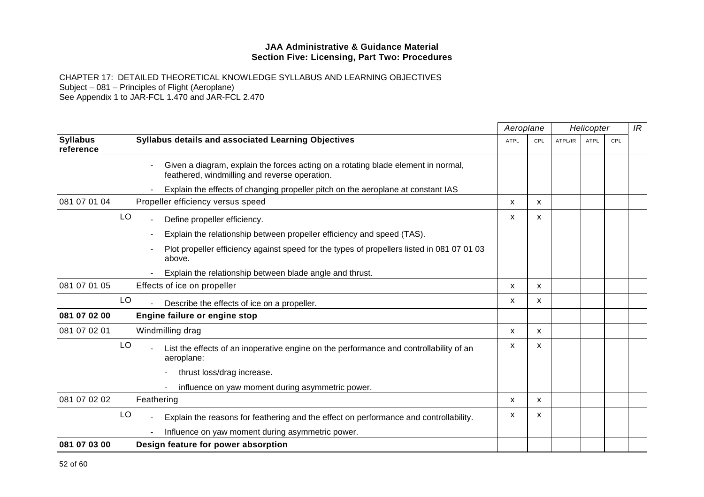|                              |                                                                                                                                    | Aeroplane    |              |         | Helicopter |     | IR |
|------------------------------|------------------------------------------------------------------------------------------------------------------------------------|--------------|--------------|---------|------------|-----|----|
| <b>Syllabus</b><br>reference | <b>Syllabus details and associated Learning Objectives</b>                                                                         | <b>ATPL</b>  | CPL          | ATPL/IR | ATPL       | CPL |    |
|                              | Given a diagram, explain the forces acting on a rotating blade element in normal,<br>feathered, windmilling and reverse operation. |              |              |         |            |     |    |
|                              | Explain the effects of changing propeller pitch on the aeroplane at constant IAS                                                   |              |              |         |            |     |    |
| 081 07 01 04                 | Propeller efficiency versus speed                                                                                                  | x            | x            |         |            |     |    |
| LO                           | Define propeller efficiency.                                                                                                       | X            | x            |         |            |     |    |
|                              | Explain the relationship between propeller efficiency and speed (TAS).                                                             |              |              |         |            |     |    |
|                              | Plot propeller efficiency against speed for the types of propellers listed in 081 07 01 03<br>above.                               |              |              |         |            |     |    |
|                              | Explain the relationship between blade angle and thrust.                                                                           |              |              |         |            |     |    |
| 081 07 01 05                 | Effects of ice on propeller                                                                                                        | X            | X            |         |            |     |    |
| LO                           | Describe the effects of ice on a propeller.                                                                                        | X            | x            |         |            |     |    |
| 081 07 02 00                 | Engine failure or engine stop                                                                                                      |              |              |         |            |     |    |
| 081 07 02 01                 | Windmilling drag                                                                                                                   | X            | X            |         |            |     |    |
| LO                           | List the effects of an inoperative engine on the performance and controllability of an<br>aeroplane:                               | X            | x            |         |            |     |    |
|                              | thrust loss/drag increase.                                                                                                         |              |              |         |            |     |    |
|                              | influence on yaw moment during asymmetric power.                                                                                   |              |              |         |            |     |    |
| 081 07 02 02                 | Feathering                                                                                                                         | $\mathsf{x}$ | $\mathsf{x}$ |         |            |     |    |
| LO                           | Explain the reasons for feathering and the effect on performance and controllability.                                              | x            | x            |         |            |     |    |
|                              | Influence on yaw moment during asymmetric power.                                                                                   |              |              |         |            |     |    |
| 081 07 03 00                 | Design feature for power absorption                                                                                                |              |              |         |            |     |    |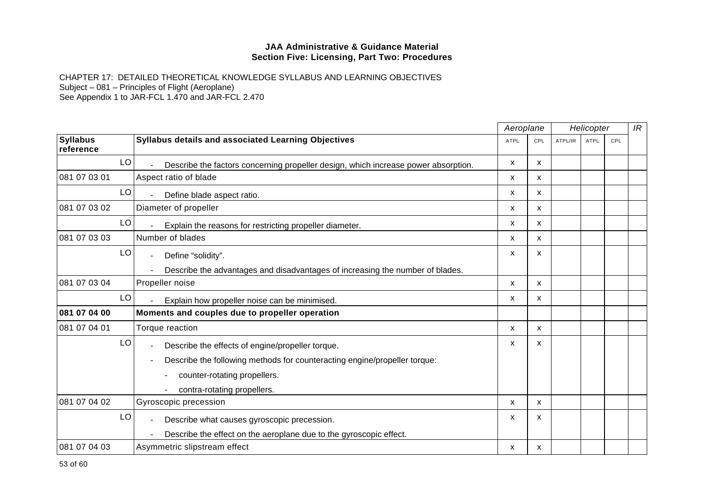|                              |                                                                                    | Aeroplane   |              |         | Helicopter  |            | IR |
|------------------------------|------------------------------------------------------------------------------------|-------------|--------------|---------|-------------|------------|----|
| <b>Syllabus</b><br>reference | Syllabus details and associated Learning Objectives                                | <b>ATPL</b> | CPL          | ATPL/IR | <b>ATPL</b> | <b>CPL</b> |    |
| LO                           | Describe the factors concerning propeller design, which increase power absorption. | X           | $\mathsf{x}$ |         |             |            |    |
| 081 07 03 01                 | Aspect ratio of blade                                                              | X           | X            |         |             |            |    |
| LO                           | Define blade aspect ratio.                                                         | x           | $\mathsf{x}$ |         |             |            |    |
| 081 07 03 02                 | Diameter of propeller                                                              | x           | X            |         |             |            |    |
| LO                           | Explain the reasons for restricting propeller diameter.                            | X           | X            |         |             |            |    |
| 081 07 03 03                 | Number of blades                                                                   | X           | X            |         |             |            |    |
| LO                           | Define "solidity".                                                                 | x           | X            |         |             |            |    |
|                              | Describe the advantages and disadvantages of increasing the number of blades.      |             |              |         |             |            |    |
| 081 07 03 04                 | Propeller noise                                                                    | X           | X            |         |             |            |    |
| LO                           | Explain how propeller noise can be minimised.                                      | x           | x            |         |             |            |    |
| 081 07 04 00                 | Moments and couples due to propeller operation                                     |             |              |         |             |            |    |
| 081 07 04 01                 | Torque reaction                                                                    | x           | x            |         |             |            |    |
| LO                           | Describe the effects of engine/propeller torque.                                   | x           | X            |         |             |            |    |
|                              | Describe the following methods for counteracting engine/propeller torque:          |             |              |         |             |            |    |
|                              | counter-rotating propellers.                                                       |             |              |         |             |            |    |
|                              | contra-rotating propellers.                                                        |             |              |         |             |            |    |
| 081 07 04 02                 | Gyroscopic precession                                                              | X           | X            |         |             |            |    |
| LO                           | Describe what causes gyroscopic precession.                                        | x           | X            |         |             |            |    |
|                              | Describe the effect on the aeroplane due to the gyroscopic effect.                 |             |              |         |             |            |    |
| 081 07 04 03                 | Asymmetric slipstream effect                                                       | x           | X            |         |             |            |    |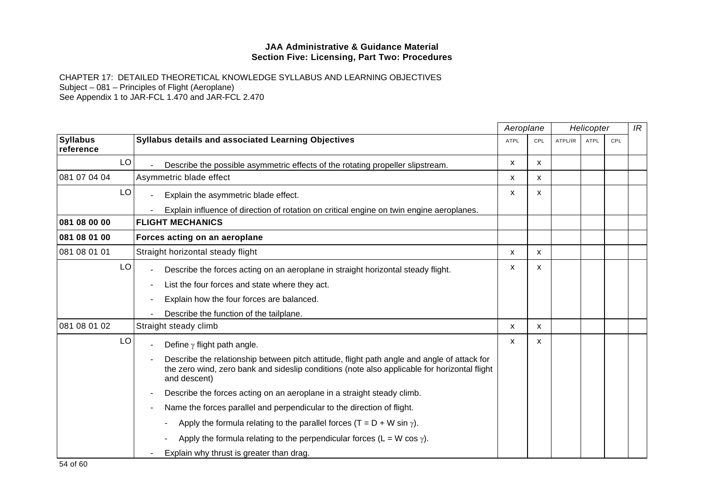|                              |    |                                                                                                                                                                                                             | Aeroplane   |              |         | Helicopter  |     | IR |
|------------------------------|----|-------------------------------------------------------------------------------------------------------------------------------------------------------------------------------------------------------------|-------------|--------------|---------|-------------|-----|----|
| <b>Syllabus</b><br>reference |    | Syllabus details and associated Learning Objectives                                                                                                                                                         | <b>ATPL</b> | CPL          | ATPL/IR | <b>ATPL</b> | CPL |    |
|                              | LO | Describe the possible asymmetric effects of the rotating propeller slipstream.                                                                                                                              | X.          | X            |         |             |     |    |
| 081 07 04 04                 |    | Asymmetric blade effect                                                                                                                                                                                     | X           | x            |         |             |     |    |
|                              | LO | Explain the asymmetric blade effect.                                                                                                                                                                        | X           | X            |         |             |     |    |
|                              |    | Explain influence of direction of rotation on critical engine on twin engine aeroplanes.                                                                                                                    |             |              |         |             |     |    |
| 081 08 00 00                 |    | <b>FLIGHT MECHANICS</b>                                                                                                                                                                                     |             |              |         |             |     |    |
| 081 08 01 00                 |    | Forces acting on an aeroplane                                                                                                                                                                               |             |              |         |             |     |    |
| 081 08 01 01                 |    | Straight horizontal steady flight                                                                                                                                                                           | X           | $\mathsf{x}$ |         |             |     |    |
|                              | LO | Describe the forces acting on an aeroplane in straight horizontal steady flight.                                                                                                                            | x           | X            |         |             |     |    |
|                              |    | List the four forces and state where they act.                                                                                                                                                              |             |              |         |             |     |    |
|                              |    | Explain how the four forces are balanced.                                                                                                                                                                   |             |              |         |             |     |    |
|                              |    | Describe the function of the tailplane.                                                                                                                                                                     |             |              |         |             |     |    |
| 081 08 01 02                 |    | Straight steady climb                                                                                                                                                                                       | X           | X            |         |             |     |    |
|                              | LO | Define $\gamma$ flight path angle.                                                                                                                                                                          | X           | X            |         |             |     |    |
|                              |    | Describe the relationship between pitch attitude, flight path angle and angle of attack for<br>the zero wind, zero bank and sideslip conditions (note also applicable for horizontal flight<br>and descent) |             |              |         |             |     |    |
|                              |    | Describe the forces acting on an aeroplane in a straight steady climb.                                                                                                                                      |             |              |         |             |     |    |
|                              |    | Name the forces parallel and perpendicular to the direction of flight.                                                                                                                                      |             |              |         |             |     |    |
|                              |    | Apply the formula relating to the parallel forces $(T = D + W \sin \gamma)$ .                                                                                                                               |             |              |         |             |     |    |
|                              |    | Apply the formula relating to the perpendicular forces (L = W cos $\gamma$ ).                                                                                                                               |             |              |         |             |     |    |
|                              |    | Explain why thrust is greater than drag.                                                                                                                                                                    |             |              |         |             |     |    |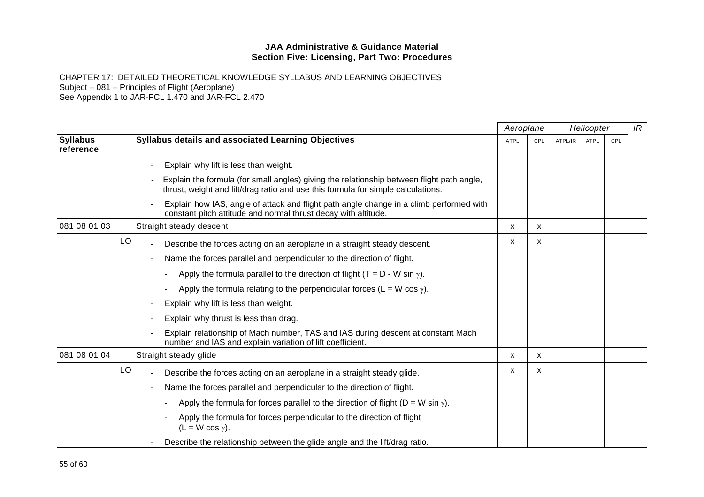|                              |    |                                                                                                                                                                               | Aeroplane   |     |         | Helicopter  |            | IR |
|------------------------------|----|-------------------------------------------------------------------------------------------------------------------------------------------------------------------------------|-------------|-----|---------|-------------|------------|----|
| <b>Syllabus</b><br>reference |    | <b>Syllabus details and associated Learning Objectives</b>                                                                                                                    | <b>ATPL</b> | CPL | ATPL/IR | <b>ATPL</b> | <b>CPL</b> |    |
|                              |    | Explain why lift is less than weight.                                                                                                                                         |             |     |         |             |            |    |
|                              |    | Explain the formula (for small angles) giving the relationship between flight path angle,<br>thrust, weight and lift/drag ratio and use this formula for simple calculations. |             |     |         |             |            |    |
|                              |    | Explain how IAS, angle of attack and flight path angle change in a climb performed with<br>constant pitch attitude and normal thrust decay with altitude.                     |             |     |         |             |            |    |
| 081 08 01 03                 |    | Straight steady descent                                                                                                                                                       | X           | x   |         |             |            |    |
|                              | LO | Describe the forces acting on an aeroplane in a straight steady descent.                                                                                                      | X           | X   |         |             |            |    |
|                              |    | Name the forces parallel and perpendicular to the direction of flight.                                                                                                        |             |     |         |             |            |    |
|                              |    | Apply the formula parallel to the direction of flight (T = D - W sin $\gamma$ ).                                                                                              |             |     |         |             |            |    |
|                              |    | Apply the formula relating to the perpendicular forces (L = W cos $\gamma$ ).                                                                                                 |             |     |         |             |            |    |
|                              |    | Explain why lift is less than weight.                                                                                                                                         |             |     |         |             |            |    |
|                              |    | Explain why thrust is less than drag.                                                                                                                                         |             |     |         |             |            |    |
|                              |    | Explain relationship of Mach number, TAS and IAS during descent at constant Mach<br>number and IAS and explain variation of lift coefficient.                                 |             |     |         |             |            |    |
| 081 08 01 04                 |    | Straight steady glide                                                                                                                                                         | X           | X   |         |             |            |    |
|                              | LO | Describe the forces acting on an aeroplane in a straight steady glide.                                                                                                        | X           | X   |         |             |            |    |
|                              |    | Name the forces parallel and perpendicular to the direction of flight.                                                                                                        |             |     |         |             |            |    |
|                              |    | Apply the formula for forces parallel to the direction of flight ( $D = W \sin \gamma$ ).                                                                                     |             |     |         |             |            |    |
|                              |    | Apply the formula for forces perpendicular to the direction of flight<br>$(L = W \cos \gamma).$                                                                               |             |     |         |             |            |    |
|                              |    | Describe the relationship between the glide angle and the lift/drag ratio.                                                                                                    |             |     |         |             |            |    |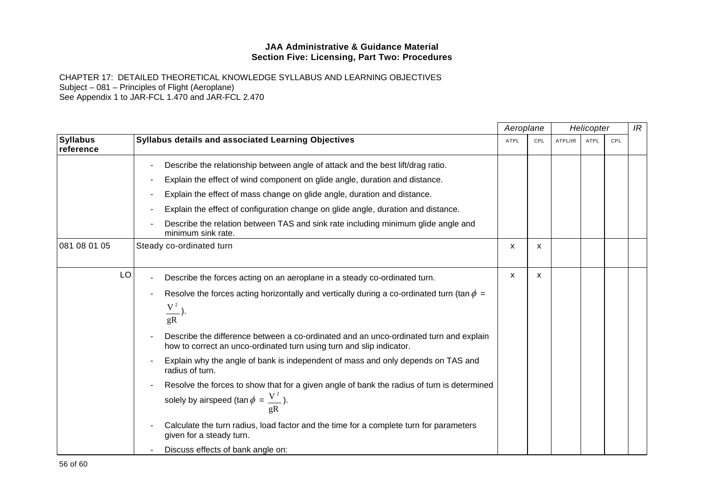|                              |                                                                                                                                                               | Aeroplane   |     |         | Helicopter  |     | IR |
|------------------------------|---------------------------------------------------------------------------------------------------------------------------------------------------------------|-------------|-----|---------|-------------|-----|----|
| <b>Syllabus</b><br>reference | Syllabus details and associated Learning Objectives                                                                                                           | <b>ATPL</b> | CPL | ATPL/IR | <b>ATPL</b> | CPL |    |
|                              | Describe the relationship between angle of attack and the best lift/drag ratio.                                                                               |             |     |         |             |     |    |
|                              | Explain the effect of wind component on glide angle, duration and distance.                                                                                   |             |     |         |             |     |    |
|                              | Explain the effect of mass change on glide angle, duration and distance.                                                                                      |             |     |         |             |     |    |
|                              | Explain the effect of configuration change on glide angle, duration and distance.                                                                             |             |     |         |             |     |    |
|                              | Describe the relation between TAS and sink rate including minimum glide angle and<br>minimum sink rate.                                                       |             |     |         |             |     |    |
| 081 08 01 05                 | Steady co-ordinated turn                                                                                                                                      | x           | x   |         |             |     |    |
| LO                           | Describe the forces acting on an aeroplane in a steady co-ordinated turn.                                                                                     | x           | x   |         |             |     |    |
|                              | Resolve the forces acting horizontally and vertically during a co-ordinated turn (tan $\phi =$                                                                |             |     |         |             |     |    |
|                              | $\frac{V^2}{\ }$ ).<br>$\mathfrak{g}R$                                                                                                                        |             |     |         |             |     |    |
|                              | Describe the difference between a co-ordinated and an unco-ordinated turn and explain<br>how to correct an unco-ordinated turn using turn and slip indicator. |             |     |         |             |     |    |
|                              | Explain why the angle of bank is independent of mass and only depends on TAS and<br>radius of turn.                                                           |             |     |         |             |     |    |
|                              | Resolve the forces to show that for a given angle of bank the radius of turn is determined                                                                    |             |     |         |             |     |    |
|                              | solely by airspeed (tan $\phi = \frac{V^2}{V}$ ).                                                                                                             |             |     |         |             |     |    |
|                              | Calculate the turn radius, load factor and the time for a complete turn for parameters<br>given for a steady turn.                                            |             |     |         |             |     |    |
|                              | Discuss effects of bank angle on:                                                                                                                             |             |     |         |             |     |    |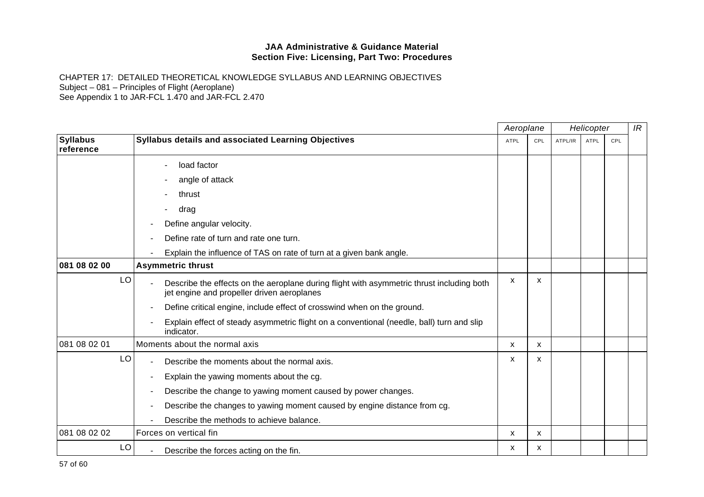|                              |                                                                                                                                         | Aeroplane   |              |         | Helicopter  |     | IR |
|------------------------------|-----------------------------------------------------------------------------------------------------------------------------------------|-------------|--------------|---------|-------------|-----|----|
| <b>Syllabus</b><br>reference | Syllabus details and associated Learning Objectives                                                                                     | <b>ATPL</b> | CPL          | ATPL/IR | <b>ATPL</b> | CPL |    |
|                              | load factor                                                                                                                             |             |              |         |             |     |    |
|                              | angle of attack                                                                                                                         |             |              |         |             |     |    |
|                              | thrust                                                                                                                                  |             |              |         |             |     |    |
|                              | drag                                                                                                                                    |             |              |         |             |     |    |
|                              | Define angular velocity.                                                                                                                |             |              |         |             |     |    |
|                              | Define rate of turn and rate one turn.                                                                                                  |             |              |         |             |     |    |
|                              | Explain the influence of TAS on rate of turn at a given bank angle.                                                                     |             |              |         |             |     |    |
| 081 08 02 00                 | <b>Asymmetric thrust</b>                                                                                                                |             |              |         |             |     |    |
| LO                           | Describe the effects on the aeroplane during flight with asymmetric thrust including both<br>jet engine and propeller driven aeroplanes | X           | X            |         |             |     |    |
|                              | Define critical engine, include effect of crosswind when on the ground.                                                                 |             |              |         |             |     |    |
|                              | Explain effect of steady asymmetric flight on a conventional (needle, ball) turn and slip<br>indicator.                                 |             |              |         |             |     |    |
| 081 08 02 01                 | Moments about the normal axis                                                                                                           | X           | $\mathsf{x}$ |         |             |     |    |
| LO                           | Describe the moments about the normal axis.                                                                                             | х           | X            |         |             |     |    |
|                              | Explain the yawing moments about the cg.                                                                                                |             |              |         |             |     |    |
|                              | Describe the change to yawing moment caused by power changes.                                                                           |             |              |         |             |     |    |
|                              | Describe the changes to yawing moment caused by engine distance from cg.                                                                |             |              |         |             |     |    |
|                              | Describe the methods to achieve balance.                                                                                                |             |              |         |             |     |    |
| 081 08 02 02                 | Forces on vertical fin                                                                                                                  | х           | X            |         |             |     |    |
| LO                           | Describe the forces acting on the fin.                                                                                                  | x           | X            |         |             |     |    |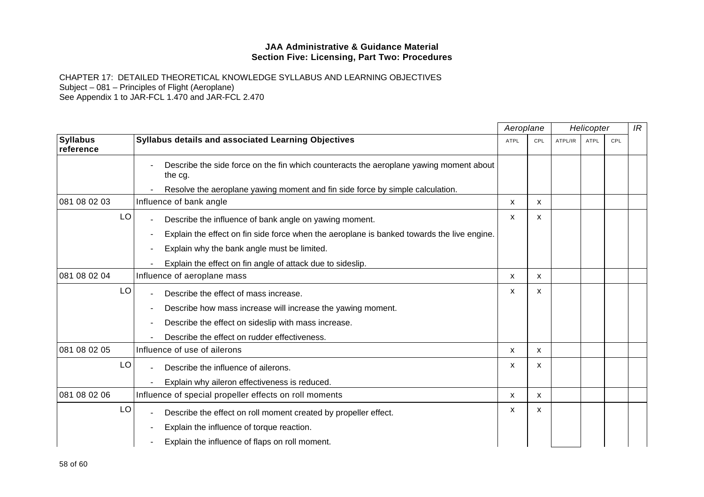|                              |                                                                                                   | Aeroplane |              |         | Helicopter |     | IR |
|------------------------------|---------------------------------------------------------------------------------------------------|-----------|--------------|---------|------------|-----|----|
| <b>Syllabus</b><br>reference | Syllabus details and associated Learning Objectives                                               | ATPL      | CPL          | ATPL/IR | ATPL       | CPL |    |
|                              | Describe the side force on the fin which counteracts the aeroplane yawing moment about<br>the cg. |           |              |         |            |     |    |
|                              | Resolve the aeroplane yawing moment and fin side force by simple calculation.                     |           |              |         |            |     |    |
| 081 08 02 03                 | Influence of bank angle                                                                           | x         | X.           |         |            |     |    |
| LO                           | Describe the influence of bank angle on yawing moment.                                            | x         | X            |         |            |     |    |
|                              | Explain the effect on fin side force when the aeroplane is banked towards the live engine.        |           |              |         |            |     |    |
|                              | Explain why the bank angle must be limited.                                                       |           |              |         |            |     |    |
|                              | Explain the effect on fin angle of attack due to sideslip.                                        |           |              |         |            |     |    |
| 081 08 02 04                 | Influence of aeroplane mass                                                                       | X         | X            |         |            |     |    |
| LO                           | Describe the effect of mass increase.                                                             | x         | X            |         |            |     |    |
|                              | Describe how mass increase will increase the yawing moment.                                       |           |              |         |            |     |    |
|                              | Describe the effect on sideslip with mass increase.                                               |           |              |         |            |     |    |
|                              | Describe the effect on rudder effectiveness.                                                      |           |              |         |            |     |    |
| 081 08 02 05                 | Influence of use of ailerons                                                                      | x         | X            |         |            |     |    |
| LO                           | Describe the influence of ailerons.                                                               | x         | x            |         |            |     |    |
|                              | Explain why aileron effectiveness is reduced.                                                     |           |              |         |            |     |    |
| 081 08 02 06                 | Influence of special propeller effects on roll moments                                            | x         | X            |         |            |     |    |
| LO                           | Describe the effect on roll moment created by propeller effect.                                   | X         | $\mathsf{x}$ |         |            |     |    |
|                              | Explain the influence of torque reaction.                                                         |           |              |         |            |     |    |
|                              | Explain the influence of flaps on roll moment.                                                    |           |              |         |            |     |    |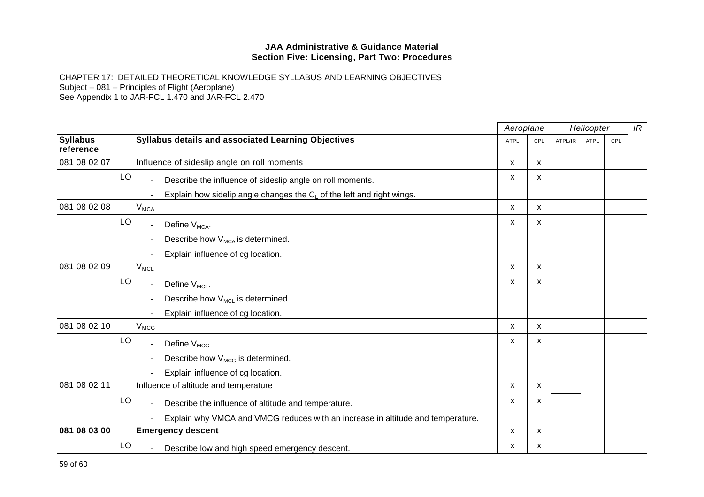|                              |                                                                                 | Aeroplane   |     |         | Helicopter  |     | IR |
|------------------------------|---------------------------------------------------------------------------------|-------------|-----|---------|-------------|-----|----|
| <b>Syllabus</b><br>reference | Syllabus details and associated Learning Objectives                             | <b>ATPL</b> | CPL | ATPL/IR | <b>ATPL</b> | CPL |    |
| 081 08 02 07                 | Influence of sideslip angle on roll moments                                     | X           | X   |         |             |     |    |
| LO                           | Describe the influence of sideslip angle on roll moments.                       | х           | X   |         |             |     |    |
|                              | Explain how sidelip angle changes the $C_L$ of the left and right wings.        |             |     |         |             |     |    |
| 081 08 02 08                 | $V_{MCA}$                                                                       | X           | x   |         |             |     |    |
| LO                           | Define V <sub>MCA</sub> .                                                       | x           | X   |         |             |     |    |
|                              | Describe how V <sub>MCA</sub> is determined.                                    |             |     |         |             |     |    |
|                              | Explain influence of cg location.                                               |             |     |         |             |     |    |
| 081 08 02 09                 | $V_{MCL}$                                                                       | X           | X   |         |             |     |    |
| LO                           | Define $V_{ML}$ .                                                               | x           | X   |         |             |     |    |
|                              | Describe how V <sub>MCL</sub> is determined.                                    |             |     |         |             |     |    |
|                              | Explain influence of cg location.                                               |             |     |         |             |     |    |
| 081 08 02 10                 | $V_{MCG}$                                                                       | X           | x   |         |             |     |    |
| LO                           | Define V <sub>MCG</sub> .                                                       | x           | X   |         |             |     |    |
|                              | Describe how V <sub>MCG</sub> is determined.                                    |             |     |         |             |     |    |
|                              | Explain influence of cg location.                                               |             |     |         |             |     |    |
| 081 08 02 11                 | Influence of altitude and temperature                                           | X           | X   |         |             |     |    |
| LO                           | Describe the influence of altitude and temperature.<br>$\blacksquare$           | x           | X   |         |             |     |    |
|                              | Explain why VMCA and VMCG reduces with an increase in altitude and temperature. |             |     |         |             |     |    |
| 081 08 03 00                 | <b>Emergency descent</b>                                                        | X           | X   |         |             |     |    |
| LO                           | Describe low and high speed emergency descent.                                  | x           | X   |         |             |     |    |